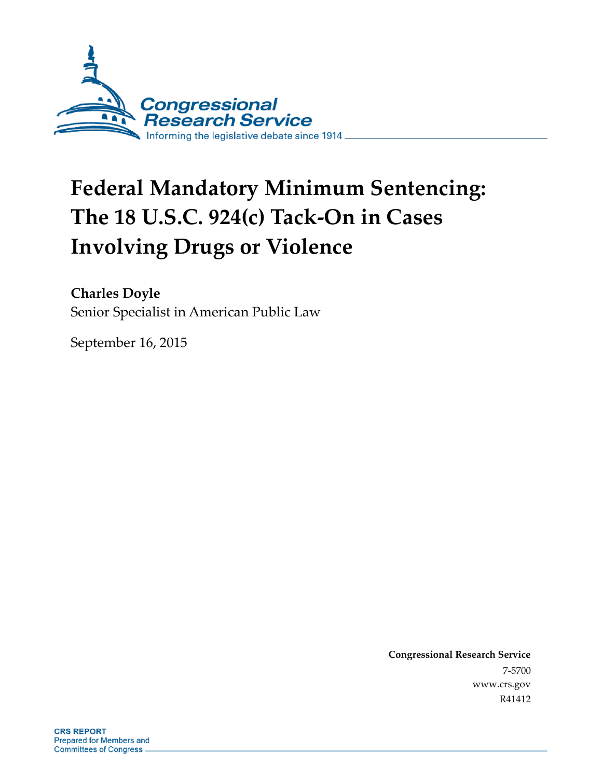

# **Federal Mandatory Minimum Sentencing: The 18 U.S.C. 924(c) Tack-On in Cases Involving Drugs or Violence**

### **Charles Doyle**

Senior Specialist in American Public Law

September 16, 2015

**Congressional Research Service** 7-5700 www.crs.gov R41412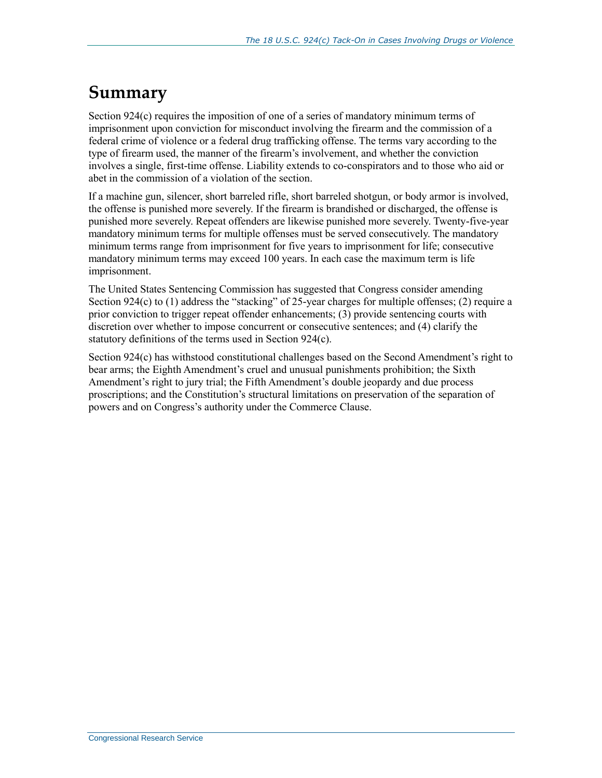# **Summary**

Section 924(c) requires the imposition of one of a series of mandatory minimum terms of imprisonment upon conviction for misconduct involving the firearm and the commission of a federal crime of violence or a federal drug trafficking offense. The terms vary according to the type of firearm used, the manner of the firearm's involvement, and whether the conviction involves a single, first-time offense. Liability extends to co-conspirators and to those who aid or abet in the commission of a violation of the section.

If a machine gun, silencer, short barreled rifle, short barreled shotgun, or body armor is involved, the offense is punished more severely. If the firearm is brandished or discharged, the offense is punished more severely. Repeat offenders are likewise punished more severely. Twenty-five-year mandatory minimum terms for multiple offenses must be served consecutively. The mandatory minimum terms range from imprisonment for five years to imprisonment for life; consecutive mandatory minimum terms may exceed 100 years. In each case the maximum term is life imprisonment.

The United States Sentencing Commission has suggested that Congress consider amending Section 924(c) to (1) address the "stacking" of 25-year charges for multiple offenses; (2) require a prior conviction to trigger repeat offender enhancements; (3) provide sentencing courts with discretion over whether to impose concurrent or consecutive sentences; and (4) clarify the statutory definitions of the terms used in Section 924(c).

Section 924(c) has withstood constitutional challenges based on the Second Amendment's right to bear arms; the Eighth Amendment's cruel and unusual punishments prohibition; the Sixth Amendment's right to jury trial; the Fifth Amendment's double jeopardy and due process proscriptions; and the Constitution's structural limitations on preservation of the separation of powers and on Congress's authority under the Commerce Clause.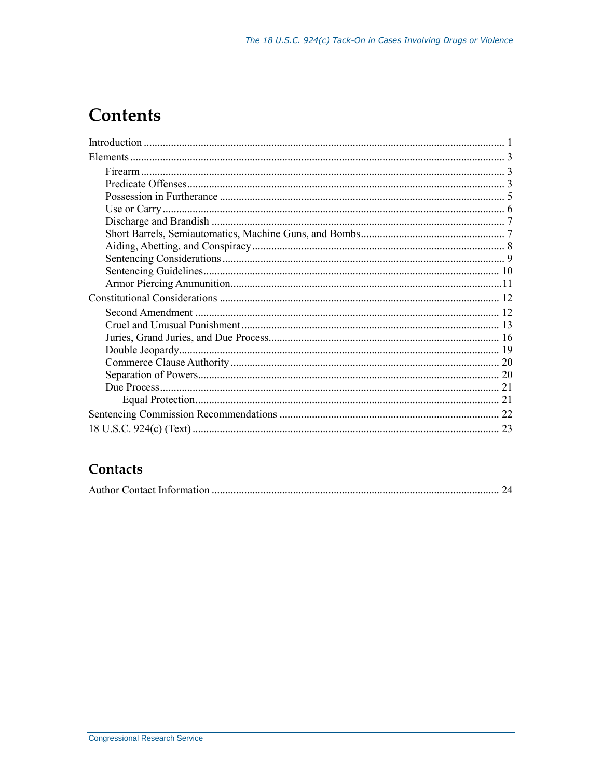# **Contents**

### Contacts

|--|--|--|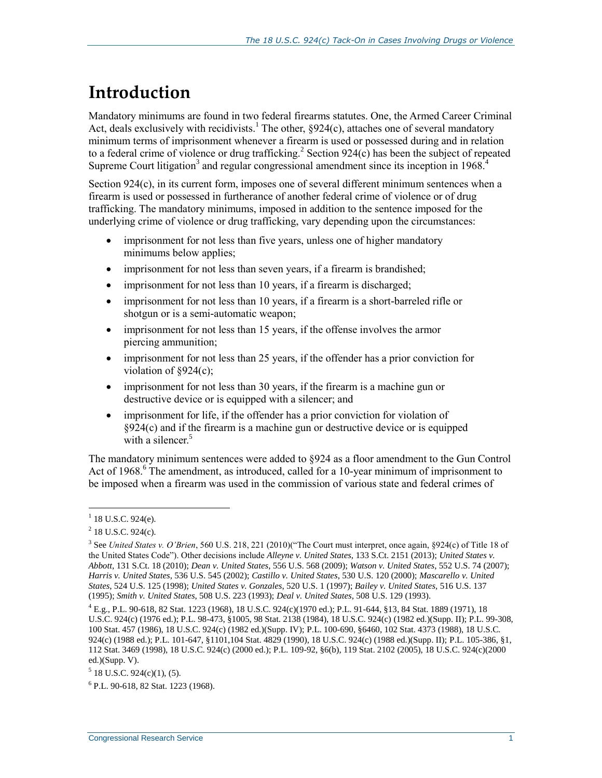# **Introduction**

Mandatory minimums are found in two federal firearms statutes. One, the Armed Career Criminal Act, deals exclusively with recidivists.<sup>1</sup> The other,  $\S 924(c)$ , attaches one of several mandatory minimum terms of imprisonment whenever a firearm is used or possessed during and in relation to a federal crime of violence or drug trafficking.<sup>2</sup> Section 924 $(c)$  has been the subject of repeated Supreme Court litigation<sup>3</sup> and regular congressional amendment since its inception in  $1968$ <sup>4</sup>

Section 924(c), in its current form, imposes one of several different minimum sentences when a firearm is used or possessed in furtherance of another federal crime of violence or of drug trafficking. The mandatory minimums, imposed in addition to the sentence imposed for the underlying crime of violence or drug trafficking, vary depending upon the circumstances:

- imprisonment for not less than five years, unless one of higher mandatory minimums below applies;
- imprisonment for not less than seven years, if a firearm is brandished;
- imprisonment for not less than 10 years, if a firearm is discharged;
- imprisonment for not less than 10 years, if a firearm is a short-barreled rifle or shotgun or is a semi-automatic weapon;
- imprisonment for not less than 15 years, if the offense involves the armor piercing ammunition;
- imprisonment for not less than 25 years, if the offender has a prior conviction for violation of  $\S 924(c)$ ;
- imprisonment for not less than 30 years, if the firearm is a machine gun or destructive device or is equipped with a silencer; and
- imprisonment for life, if the offender has a prior conviction for violation of §924(c) and if the firearm is a machine gun or destructive device or is equipped with a silencer. $5$

The mandatory minimum sentences were added to §924 as a floor amendment to the Gun Control Act of 1968.<sup>6</sup> The amendment, as introduced, called for a 10-year minimum of imprisonment to be imposed when a firearm was used in the commission of various state and federal crimes of

 $1$  18 U.S.C. 924(e).

 $2$  18 U.S.C. 924(c).

<sup>3</sup> See *United States v. O'Brien*, 560 U.S. 218, 221 (2010)("The Court must interpret, once again, §924(c) of Title 18 of the United States Code"). Other decisions include *Alleyne v. United States*, 133 S.Ct. 2151 (2013); *United States v. Abbott*, 131 S.Ct. 18 (2010); *Dean v. United States*, 556 U.S. 568 (2009); *Watson v. United States*, 552 U.S. 74 (2007); *Harris v. United States*, 536 U.S. 545 (2002); *Castillo v. United States*, 530 U.S. 120 (2000); *Mascarello v. United States*, 524 U.S. 125 (1998); *United States v. Gonzales*, 520 U.S. 1 (1997); *Bailey v. United States,* 516 U.S. 137 (1995); *Smith v. United States*, 508 U.S. 223 (1993); *Deal v. United States*, 508 U.S. 129 (1993).

<sup>4</sup> E.g., P.L. 90-618, 82 Stat. 1223 (1968), 18 U.S.C. 924(c)(1970 ed.); P.L. 91-644, §13, 84 Stat. 1889 (1971), 18 U.S.C. 924(c) (1976 ed.); P.L. 98-473, §1005, 98 Stat. 2138 (1984), 18 U.S.C. 924(c) (1982 ed.)(Supp. II); P.L. 99-308, 100 Stat. 457 (1986), 18 U.S.C. 924(c) (1982 ed.)(Supp. IV); P.L. 100-690, §6460, 102 Stat. 4373 (1988), 18 U.S.C. 924(c) (1988 ed.); P.L. 101-647, §1101,104 Stat. 4829 (1990), 18 U.S.C. 924(c) (1988 ed.)(Supp. II); P.L. 105-386, §1, 112 Stat. 3469 (1998), 18 U.S.C. 924(c) (2000 ed.); P.L. 109-92, §6(b), 119 Stat. 2102 (2005), 18 U.S.C. 924(c)(2000 ed.)(Supp. V).

 $5$  18 U.S.C. 924(c)(1), (5).

<sup>6</sup> P.L. 90-618, 82 Stat. 1223 (1968).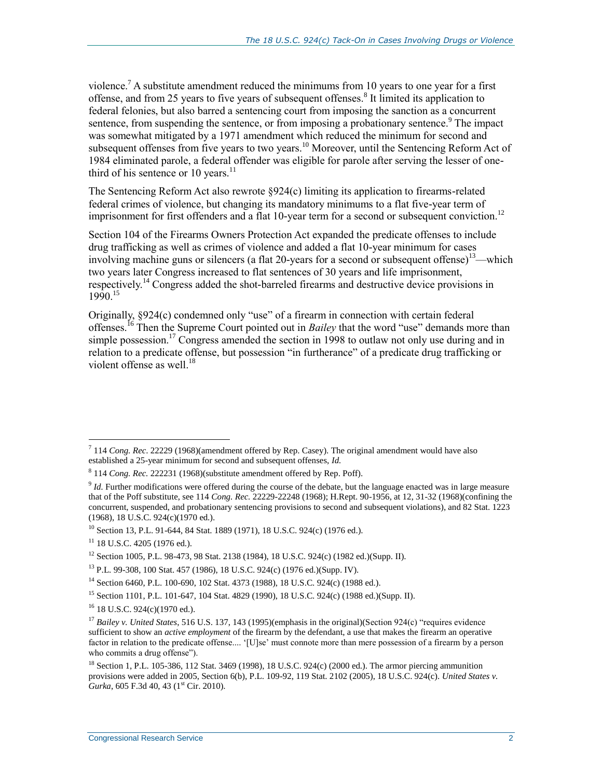violence.<sup>7</sup> A substitute amendment reduced the minimums from 10 years to one year for a first offense, and from 25 years to five years of subsequent offenses.<sup>8</sup> It limited its application to federal felonies, but also barred a sentencing court from imposing the sanction as a concurrent sentence, from suspending the sentence, or from imposing a probationary sentence.<sup>9</sup> The impact was somewhat mitigated by a 1971 amendment which reduced the minimum for second and subsequent offenses from five years to two years.<sup>10</sup> Moreover, until the Sentencing Reform Act of 1984 eliminated parole, a federal offender was eligible for parole after serving the lesser of onethird of his sentence or 10 years. $^{11}$ 

The Sentencing Reform Act also rewrote §924(c) limiting its application to firearms-related federal crimes of violence, but changing its mandatory minimums to a flat five-year term of imprisonment for first offenders and a flat 10-year term for a second or subsequent conviction.<sup>12</sup>

Section 104 of the Firearms Owners Protection Act expanded the predicate offenses to include drug trafficking as well as crimes of violence and added a flat 10-year minimum for cases involving machine guns or silencers (a flat 20-years for a second or subsequent offense)<sup>13</sup>—which two years later Congress increased to flat sentences of 30 years and life imprisonment, respectively.<sup>14</sup> Congress added the shot-barreled firearms and destructive device provisions in 1990<sup>15</sup>

Originally, §924(c) condemned only "use" of a firearm in connection with certain federal offenses.<sup>16</sup> Then the Supreme Court pointed out in *Bailey* that the word "use" demands more than simple possession.<sup>17</sup> Congress amended the section in 1998 to outlaw not only use during and in relation to a predicate offense, but possession "in furtherance" of a predicate drug trafficking or violent offense as well  $^{18}$ 

 7 114 *Cong. Rec*. 22229 (1968)(amendment offered by Rep. Casey). The original amendment would have also established a 25-year minimum for second and subsequent offenses, *Id.*

<sup>8</sup> 114 *Cong. Rec.* 222231 (1968)(substitute amendment offered by Rep. Poff).

<sup>&</sup>lt;sup>9</sup> *Id.* Further modifications were offered during the course of the debate, but the language enacted was in large measure that of the Poff substitute, see 114 *Cong. Rec.* 22229-22248 (1968); H.Rept. 90-1956, at 12, 31-32 (1968)(confining the concurrent, suspended, and probationary sentencing provisions to second and subsequent violations), and 82 Stat. 1223 (1968), 18 U.S.C. 924(c)(1970 ed.).

<sup>&</sup>lt;sup>10</sup> Section 13, P.L. 91-644, 84 Stat. 1889 (1971), 18 U.S.C. 924(c) (1976 ed.).

 $11$  18 U.S.C. 4205 (1976 ed.).

<sup>12</sup> Section 1005, P.L. 98-473, 98 Stat. 2138 (1984), 18 U.S.C. 924(c) (1982 ed.)(Supp. II).

<sup>13</sup> P.L. 99-308, 100 Stat. 457 (1986), 18 U.S.C. 924(c) (1976 ed.)(Supp. IV).

<sup>14</sup> Section 6460, P.L. 100-690, 102 Stat. 4373 (1988), 18 U.S.C. 924(c) (1988 ed.).

<sup>&</sup>lt;sup>15</sup> Section 1101, P.L. 101-647, 104 Stat. 4829 (1990), 18 U.S.C. 924(c) (1988 ed.)(Supp. II).

<sup>&</sup>lt;sup>16</sup> 18 U.S.C. 924(c)(1970 ed.).

<sup>&</sup>lt;sup>17</sup> *Bailey v. United States*, 516 U.S. 137, 143 (1995)(emphasis in the original)(Section 924(c) "requires evidence sufficient to show an *active employment* of the firearm by the defendant, a use that makes the firearm an operative factor in relation to the predicate offense.... '[U]se' must connote more than mere possession of a firearm by a person who commits a drug offense").

<sup>&</sup>lt;sup>18</sup> Section 1, P.L. 105-386, 112 Stat. 3469 (1998), 18 U.S.C. 924(c) (2000 ed.). The armor piercing ammunition provisions were added in 2005, Section 6(b), P.L. 109-92, 119 Stat. 2102 (2005), 18 U.S.C. 924(c). *United States v. Gurka*, 605 F.3d 40, 43 (1<sup>st</sup> Cir. 2010).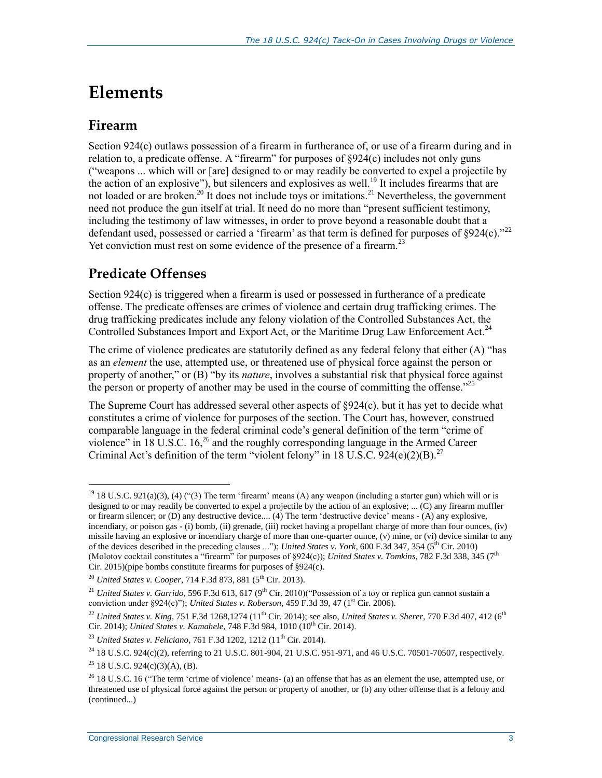# **Elements**

#### **Firearm**

Section 924(c) outlaws possession of a firearm in furtherance of, or use of a firearm during and in relation to, a predicate offense. A "firearm" for purposes of  $\S 924(c)$  includes not only guns ("weapons ... which will or [are] designed to or may readily be converted to expel a projectile by the action of an explosive"), but silencers and explosives as well.<sup>19</sup> It includes firearms that are not loaded or are broken.<sup>20 It</sup> does not include toys or imitations.<sup>21</sup> Nevertheless, the government need not produce the gun itself at trial. It need do no more than "present sufficient testimony, including the testimony of law witnesses, in order to prove beyond a reasonable doubt that a defendant used, possessed or carried a 'firearm' as that term is defined for purposes of §924(c)."<sup>22</sup> Yet conviction must rest on some evidence of the presence of a firearm.<sup>23</sup>

### **Predicate Offenses**

Section 924(c) is triggered when a firearm is used or possessed in furtherance of a predicate offense. The predicate offenses are crimes of violence and certain drug trafficking crimes. The drug trafficking predicates include any felony violation of the Controlled Substances Act, the Controlled Substances Import and Export Act, or the Maritime Drug Law Enforcement Act.<sup>24</sup>

The crime of violence predicates are statutorily defined as any federal felony that either (A) "has as an *element* the use, attempted use, or threatened use of physical force against the person or property of another," or (B) "by its *nature*, involves a substantial risk that physical force against the person or property of another may be used in the course of committing the offense.<sup> $25$ </sup>

The Supreme Court has addressed several other aspects of §924(c), but it has yet to decide what constitutes a crime of violence for purposes of the section. The Court has, however, construed comparable language in the federal criminal code's general definition of the term "crime of violence" in 18 U.S.C.  $16<sub>1</sub><sup>26</sup>$  and the roughly corresponding language in the Armed Career Criminal Act's definition of the term "violent felony" in 18 U.S.C.  $924(e)(2)(B)^{27}$ 

<sup>&</sup>lt;sup>19</sup> 18 U.S.C. 921(a)(3), (4) ("(3) The term 'firearm' means (A) any weapon (including a starter gun) which will or is designed to or may readily be converted to expel a projectile by the action of an explosive; ... (C) any firearm muffler or firearm silencer; or (D) any destructive device.... (4) The term 'destructive device' means - (A) any explosive, incendiary, or poison gas - (i) bomb, (ii) grenade, (iii) rocket having a propellant charge of more than four ounces, (iv) missile having an explosive or incendiary charge of more than one-quarter ounce, (v) mine, or (vi) device similar to any of the devices described in the preceding clauses ..."); *United States v. York*, 600 F.3d 347, 354 (5th Cir. 2010) (Molotov cocktail constitutes a "firearm" for purposes of §924(c)); *United States v. Tomkins*, 782 F.3d 338, 345 (7<sup>th</sup> Cir. 2015)(pipe bombs constitute firearms for purposes of §924(c).

<sup>&</sup>lt;sup>20</sup> *United States v. Cooper*, 714 F.3d 873, 881 (5<sup>th</sup> Cir. 2013).

<sup>&</sup>lt;sup>21</sup> *United States v. Garrido*, 596 F.3d 613, 617 (9<sup>th</sup> Cir. 2010)("Possession of a toy or replica gun cannot sustain a conviction under §924(c)"); *United States v. Roberson*, 459 F.3d 39, 47 ( $1<sup>st</sup>$  Cir. 2006).

<sup>&</sup>lt;sup>22</sup> *United States v. King*, 751 F.3d 1268,1274 (11<sup>th</sup> Cir. 2014); see also, *United States v. Sherer*, 770 F.3d 407, 412 (6<sup>th</sup> Cir. 2014); *United States v. Kamahele*, 748 F.3d 984, 1010 (10<sup>th</sup> Cir. 2014).

<sup>&</sup>lt;sup>23</sup> *United States v. Feliciano*, 761 F.3d 1202, 1212 (11<sup>th</sup> Cir. 2014).

<sup>&</sup>lt;sup>24</sup> 18 U.S.C. 924(c)(2), referring to 21 U.S.C. 801-904, 21 U.S.C. 951-971, and 46 U.S.C. 70501-70507, respectively.

 $25$  18 U.S.C. 924(c)(3)(A), (B).

<sup>&</sup>lt;sup>26</sup> 18 U.S.C. 16 ("The term 'crime of violence' means- (a) an offense that has as an element the use, attempted use, or threatened use of physical force against the person or property of another, or (b) any other offense that is a felony and (continued...)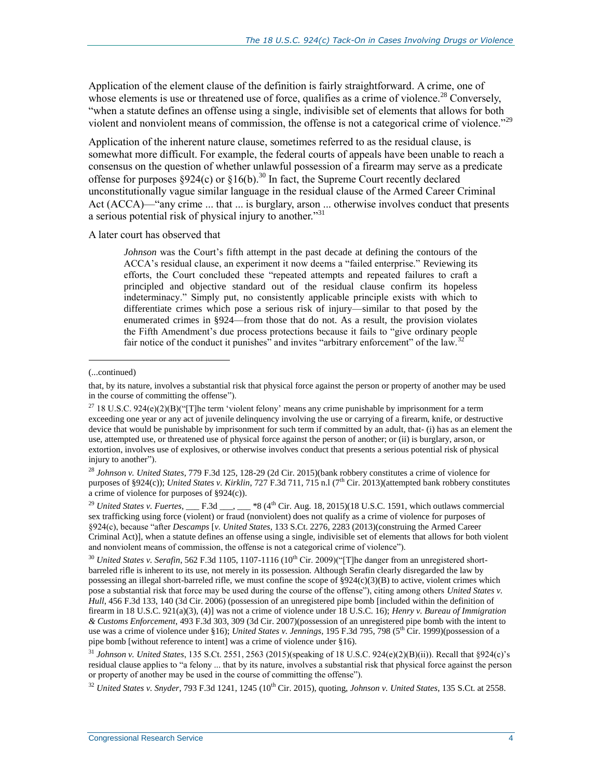Application of the element clause of the definition is fairly straightforward. A crime, one of whose elements is use or threatened use of force, qualifies as a crime of violence.<sup>28</sup> Conversely, "when a statute defines an offense using a single, indivisible set of elements that allows for both violent and nonviolent means of commission, the offense is not a categorical crime of violence."<sup>29</sup>

Application of the inherent nature clause, sometimes referred to as the residual clause, is somewhat more difficult. For example, the federal courts of appeals have been unable to reach a consensus on the question of whether unlawful possession of a firearm may serve as a predicate offense for purposes §924(c) or §16(b).<sup>30</sup> In fact, the Supreme Court recently declared unconstitutionally vague similar language in the residual clause of the Armed Career Criminal Act (ACCA)—"any crime ... that ... is burglary, arson ... otherwise involves conduct that presents a serious potential risk of physical injury to another.<sup>331</sup>

A later court has observed that

*Johnson* was the Court's fifth attempt in the past decade at defining the contours of the ACCA's residual clause, an experiment it now deems a "failed enterprise." Reviewing its efforts, the Court concluded these "repeated attempts and repeated failures to craft a principled and objective standard out of the residual clause confirm its hopeless indeterminacy." Simply put, no consistently applicable principle exists with which to differentiate crimes which pose a serious risk of injury—similar to that posed by the enumerated crimes in §924—from those that do not. As a result, the provision violates the Fifth Amendment's due process protections because it fails to "give ordinary people fair notice of the conduct it punishes" and invites "arbitrary enforcement" of the law.<sup>3</sup>

 $\overline{a}$ 

<sup>28</sup> *Johnson v. United States*, 779 F.3d 125, 128-29 (2d Cir. 2015)(bank robbery constitutes a crime of violence for purposes of §924(c)); *United States v. Kirklin*, 727 F.3d 711, 715 n.l (7<sup>th</sup> Cir. 2013)(attempted bank robbery constitutes a crime of violence for purposes of §924(c)).

<sup>29</sup> *United States v. Fuertes*,  $\_\_$  F.3d  $\_\_$ ,  $\_\_$  \*8 (4<sup>th</sup> Cir. Aug. 18, 2015)(18 U.S.C. 1591, which outlaws commercial sex trafficking using force (violent) or fraud (nonviolent) does not qualify as a crime of violence for purposes of §924(c), because "after *Descamps* [*v. United States*, 133 S.Ct. 2276, 2283 (2013)(construing the Armed Career Criminal Act)], when a statute defines an offense using a single, indivisible set of elements that allows for both violent and nonviolent means of commission, the offense is not a categorical crime of violence").

<sup>30</sup> *United States v. Serafin*, 562 F.3d 1105, 1107-1116 (10<sup>th</sup> Cir. 2009)("The danger from an unregistered shortbarreled rifle is inherent to its use, not merely in its possession. Although Serafin clearly disregarded the law by possessing an illegal short-barreled rifle, we must confine the scope of  $\S 924(c)(3)(B)$  to active, violent crimes which pose a substantial risk that force may be used during the course of the offense"), citing among others *United States v. Hull*, 456 F.3d 133, 140 (3d Cir. 2006) (possession of an unregistered pipe bomb [included within the definition of firearm in 18 U.S.C. 921(a)(3), (4)] was not a crime of violence under 18 U.S.C. 16); *Henry v. Bureau of Immigration & Customs Enforcement*, 493 F.3d 303, 309 (3d Cir. 2007)(possession of an unregistered pipe bomb with the intent to use was a crime of violence under §16); *United States v. Jennings*, 195 F.3d 795, 798 (5<sup>th</sup> Cir. 1999)(possession of a pipe bomb [without reference to intent] was a crime of violence under §16).

<sup>31</sup> *Johnson v. United States*, 135 S.Ct. 2551, 2563 (2015)(speaking of 18 U.S.C. 924(e)(2)(B)(ii)). Recall that §924(c)'s residual clause applies to "a felony ... that by its nature, involves a substantial risk that physical force against the person or property of another may be used in the course of committing the offense").

<sup>32</sup> United States v. Snyder, 793 F.3d 1241, 1245 (10<sup>th</sup> Cir. 2015), quoting, *Johnson v. United States*, 135 S.Ct. at 2558.

<sup>(...</sup>continued)

that, by its nature, involves a substantial risk that physical force against the person or property of another may be used in the course of committing the offense").

<sup>&</sup>lt;sup>27</sup> 18 U.S.C. 924(e)(2)(B)("[T]he term 'violent felony' means any crime punishable by imprisonment for a term exceeding one year or any act of juvenile delinquency involving the use or carrying of a firearm, knife, or destructive device that would be punishable by imprisonment for such term if committed by an adult, that- (i) has as an element the use, attempted use, or threatened use of physical force against the person of another; or (ii) is burglary, arson, or extortion, involves use of explosives, or otherwise involves conduct that presents a serious potential risk of physical injury to another").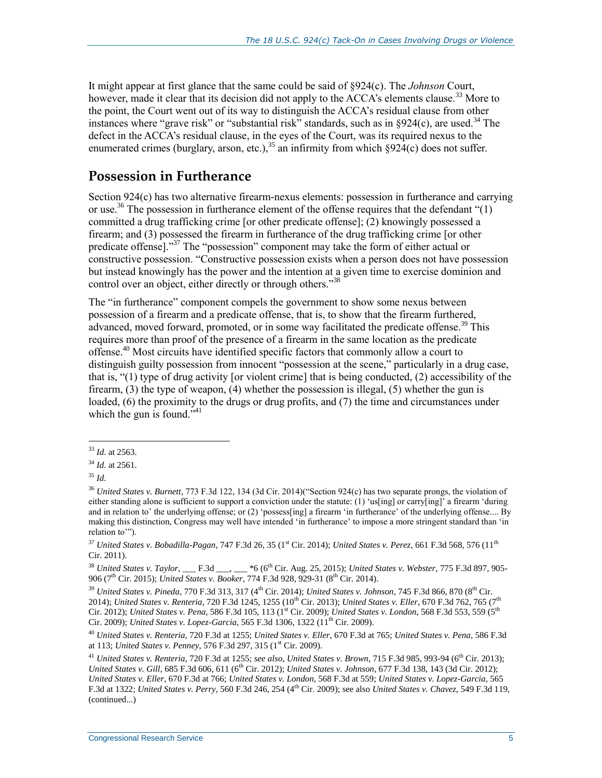It might appear at first glance that the same could be said of §924(c). The *Johnson* Court, however, made it clear that its decision did not apply to the ACCA's elements clause.<sup>33</sup> More to the point, the Court went out of its way to distinguish the ACCA's residual clause from other instances where "grave risk" or "substantial risk" standards, such as in  $\S 924(c)$ , are used.<sup>34</sup> The defect in the ACCA's residual clause, in the eyes of the Court, was its required nexus to the enumerated crimes (burglary, arson, etc.), $35$  an infirmity from which  $\S924(c)$  does not suffer.

#### **Possession in Furtherance**

Section 924(c) has two alternative firearm-nexus elements: possession in furtherance and carrying or use.<sup>36</sup> The possession in furtherance element of the offense requires that the defendant " $(1)$ " committed a drug trafficking crime [or other predicate offense]; (2) knowingly possessed a firearm; and (3) possessed the firearm in furtherance of the drug trafficking crime [or other predicate offense]."<sup>37</sup> The "possession" component may take the form of either actual or constructive possession. "Constructive possession exists when a person does not have possession but instead knowingly has the power and the intention at a given time to exercise dominion and control over an object, either directly or through others."<sup>38</sup>

The "in furtherance" component compels the government to show some nexus between possession of a firearm and a predicate offense, that is, to show that the firearm furthered, advanced, moved forward, promoted, or in some way facilitated the predicate offense.<sup>39</sup> This requires more than proof of the presence of a firearm in the same location as the predicate offense.<sup>40</sup> Most circuits have identified specific factors that commonly allow a court to distinguish guilty possession from innocent "possession at the scene," particularly in a drug case, that is, "(1) type of drug activity [or violent crime] that is being conducted, (2) accessibility of the firearm, (3) the type of weapon, (4) whether the possession is illegal, (5) whether the gun is loaded, (6) the proximity to the drugs or drug profits, and (7) the time and circumstances under which the gun is found." $41$ 

 $\overline{a}$ <sup>33</sup> *Id*. at 2563.

<sup>34</sup> *Id*. at 2561.

<sup>35</sup> *Id*.

<sup>36</sup> *United States v. Burnett*, 773 F.3d 122, 134 (3d Cir. 2014)("Section 924(c) has two separate prongs, the violation of either standing alone is sufficient to support a conviction under the statute:  $(1)$  'us[ing] or carry[ing]' a firearm 'during and in relation to' the underlying offense; or (2) 'possess[ing] a firearm 'in furtherance' of the underlying offense.... By making this distinction, Congress may well have intended 'in furtherance' to impose a more stringent standard than 'in relation to'").

<sup>&</sup>lt;sup>37</sup> *United States v. Bobadilla-Pagan, 747 F.3d 26, 35 (1<sup>st</sup> Cir. 2014); <i>United States v. Perez, 661 F.3d 568, 576 (11<sup>th</sup>* Cir. 2011).

<sup>38</sup> *United States v. Taylor*, \_\_\_ F.3d \_\_\_, \_\_\_ \*6 (6th Cir. Aug. 25, 2015); *United States v. Webster*, 775 F.3d 897, 905- 906 (7<sup>th</sup> Cir. 2015); *United States v. Booker*, 774 F.3d 928, 929-31 (8<sup>th</sup> Cir. 2014).

<sup>39</sup> *United States v. Pineda*, 770 F.3d 313, 317 (4th Cir. 2014); *United States v. Johnson*, 745 F.3d 866, 870 (8th Cir. 2014); *United States v. Renteria*, 720 F.3d 1245, 1255 (10th Cir. 2013); *United States v. Eller*, 670 F.3d 762, 765 (7th Cir. 2012); *United States v. Pena*, 586 F.3d 105, 113 (1<sup>st</sup> Cir. 2009); *United States v. London*, 568 F.3d 553, 559 (5<sup>th</sup> Cir. 2009); *United States v. Lopez-Garcia*, 565 F.3d 1306, 1322 (11th Cir. 2009).

<sup>40</sup> *United States v. Renteria*, 720 F.3d at 1255; *United States v. Eller*, 670 F.3d at 765; *United States v. Pena*, 586 F.3d at 113; *United States v. Penney*, 576 F.3d 297, 315 (1st Cir. 2009).

<sup>41</sup> *United States v. Renteria*, 720 F.3d at 1255; *see also*, *United States v. Brown*, 715 F.3d 985, 993-94 (6th Cir. 2013); *United States v. Gill*, 685 F.3d 606, 611 (6th Cir. 2012); *United States v. Johnson*, 677 F.3d 138, 143 (3d Cir. 2012); *United States v. Eller*, 670 F.3d at 766; *United States v. London*, 568 F.3d at 559; *United States v. Lopez-Garcia*, 565 F.3d at 1322; *United States v. Perry*, 560 F.3d 246, 254 (4th Cir. 2009); see also *United States v. Chavez*, 549 F.3d 119, (continued...)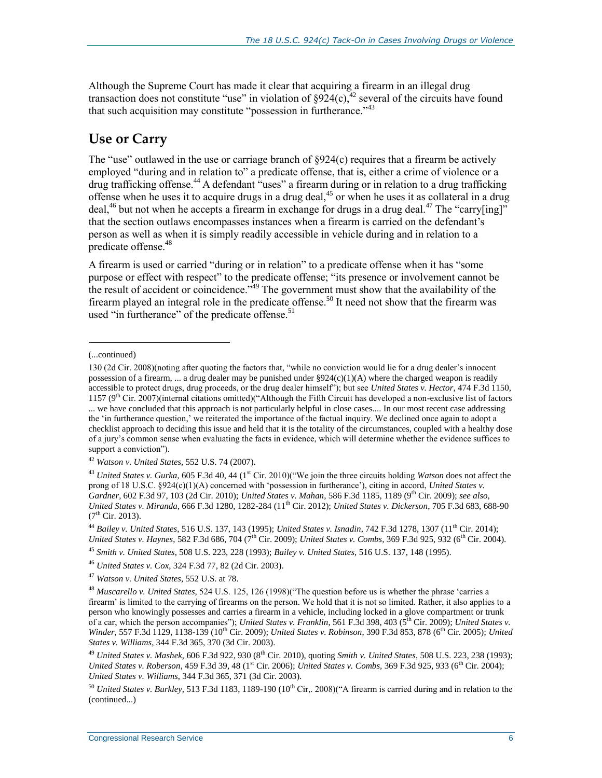Although the Supreme Court has made it clear that acquiring a firearm in an illegal drug transaction does not constitute "use" in violation of  $\S^{924}(c)$ ,  $42$  several of the circuits have found that such acquisition may constitute "possession in furtherance."<sup>43</sup>

#### **Use or Carry**

The "use" outlawed in the use or carriage branch of  $\S 924(c)$  requires that a firearm be actively employed "during and in relation to" a predicate offense, that is, either a crime of violence or a drug trafficking offense.<sup>44</sup> A defendant "uses" a firearm during or in relation to a drug trafficking offense when he uses it to acquire drugs in a drug deal,<sup>45</sup> or when he uses it as collateral in a drug deal,<sup>46</sup> but not when he accepts a firearm in exchange for drugs in a drug deal.<sup>47</sup> The "carry[ing]" that the section outlaws encompasses instances when a firearm is carried on the defendant's person as well as when it is simply readily accessible in vehicle during and in relation to a predicate offense.<sup>48</sup>

A firearm is used or carried "during or in relation" to a predicate offense when it has "some purpose or effect with respect" to the predicate offense; "its presence or involvement cannot be the result of accident or coincidence.<sup>749</sup> The government must show that the availability of the firearm played an integral role in the predicate offense.<sup>50</sup> It need not show that the firearm was used "in furtherance" of the predicate offense.<sup>51</sup>

l

<sup>(...</sup>continued)

<sup>130 (2</sup>d Cir. 2008)(noting after quoting the factors that, "while no conviction would lie for a drug dealer's innocent possession of a firearm, ... a drug dealer may be punished under  $\S924(c)(1)(A)$  where the charged weapon is readily accessible to protect drugs, drug proceeds, or the drug dealer himself"); but see *United States v. Hector*, 474 F.3d 1150, 1157 ( $9<sup>th</sup>$  Cir. 2007)(internal citations omitted)("Although the Fifth Circuit has developed a non-exclusive list of factors ... we have concluded that this approach is not particularly helpful in close cases.... In our most recent case addressing the 'in furtherance question,' we reiterated the importance of the factual inquiry. We declined once again to adopt a checklist approach to deciding this issue and held that it is the totality of the circumstances, coupled with a healthy dose of a jury's common sense when evaluating the facts in evidence, which will determine whether the evidence suffices to support a conviction").

<sup>42</sup> *Watson v. United States,* 552 U.S. 74 (2007).

<sup>&</sup>lt;sup>43</sup> United States v. Gurka, 605 F.3d 40, 44 (1<sup>st</sup> Cir. 2010)("We join the three circuits holding *Watson* does not affect the prong of 18 U.S.C. §924(c)(1)(A) concerned with 'possession in furtherance'), citing in accord, *United States v. Gardner*, 602 F.3d 97, 103 (2d Cir. 2010); *United States v. Mahan*, 586 F.3d 1185, 1189 (9th Cir. 2009); *see also*, *United States v. Miranda*, 666 F.3d 1280, 1282-284 (11th Cir. 2012); *United States v. Dickerson*, 705 F.3d 683, 688-90  $(7^{th}$  Cir. 2013).

<sup>44</sup> *Bailey v. United States*, 516 U.S. 137, 143 (1995); *United States v. Isnadin*, 742 F.3d 1278, 1307 (11th Cir. 2014); *United States v. Haynes*, 582 F.3d 686, 704 (7<sup>th</sup> Cir. 2009); *United States v. Combs*, 369 F.3d 925, 932 (6<sup>th</sup> Cir. 2004).

<sup>45</sup> *Smith v. United States*, 508 U.S. 223, 228 (1993); *Bailey v. United States,* 516 U.S. 137, 148 (1995).

<sup>46</sup> *United States v. Cox*, 324 F.3d 77, 82 (2d Cir. 2003).

<sup>47</sup> *Watson v. United States*, 552 U.S. at 78.

<sup>48</sup> *Muscarello v. United States,* 524 U.S. 125, 126 (1998)("The question before us is whether the phrase 'carries a firearm' is limited to the carrying of firearms on the person. We hold that it is not so limited. Rather, it also applies to a person who knowingly possesses and carries a firearm in a vehicle, including locked in a glove compartment or trunk of a car, which the person accompanies"); *United States v. Franklin*, 561 F.3d 398, 403 (5th Cir. 2009); *United States v. Winder, 557 F.3d 1129, 1138-139 (10<sup>th</sup> Cir. 2009); <i>United States v. Robinson, 390 F.3d 853, 878 (6<sup>th</sup> Cir. 2005); <i>United States v. Williams*, 344 F.3d 365, 370 (3d Cir. 2003).

<sup>49</sup> *United States v. Mashek*, 606 F.3d 922, 930 (8th Cir. 2010), quoting *Smith v. United States*, 508 U.S. 223, 238 (1993); *United States v. Roberson*, 459 F.3d 39, 48 (1<sup>st</sup> Cir. 2006); *United States v. Combs,* 369 F.3d 925, 933 (6<sup>th</sup> Cir. 2004); *United States v. Williams*, 344 F.3d 365, 371 (3d Cir. 2003).

<sup>&</sup>lt;sup>50</sup> *United States v. Burkley*, 513 F.3d 1183, 1189-190 (10<sup>th</sup> Cir., 2008)("A firearm is carried during and in relation to the (continued...)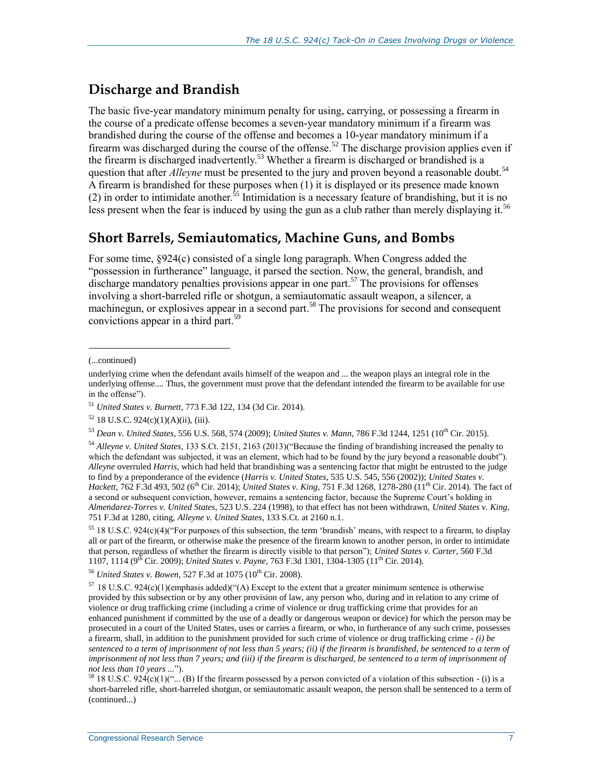#### **Discharge and Brandish**

The basic five-year mandatory minimum penalty for using, carrying, or possessing a firearm in the course of a predicate offense becomes a seven-year mandatory minimum if a firearm was brandished during the course of the offense and becomes a 10-year mandatory minimum if a firearm was discharged during the course of the offense.<sup>52</sup> The discharge provision applies even if the firearm is discharged inadvertently.<sup>53</sup> Whether a firearm is discharged or brandished is a question that after *Alleyne* must be presented to the jury and proven beyond a reasonable doubt.<sup>54</sup> A firearm is brandished for these purposes when (1) it is displayed or its presence made known (2) in order to intimidate another.<sup>55</sup> Intimidation is a necessary feature of brandishing, but it is no less present when the fear is induced by using the gun as a club rather than merely displaying it.<sup>56</sup>

#### **Short Barrels, Semiautomatics, Machine Guns, and Bombs**

For some time, §924(c) consisted of a single long paragraph. When Congress added the "possession in furtherance" language, it parsed the section. Now, the general, brandish, and discharge mandatory penalties provisions appear in one part.<sup>57</sup> The provisions for offenses involving a short-barreled rifle or shotgun, a semiautomatic assault weapon, a silencer, a machinegun, or explosives appear in a second part.<sup>58</sup> The provisions for second and consequent convictions appear in a third part.<sup>59</sup>

l

<sup>54</sup> *Alleyne v. United States*, 133 S.Ct. 2151, 2163 (2013)("Because the finding of brandishing increased the penalty to which the defendant was subjected, it was an element, which had to be found by the jury beyond a reasonable doubt"). *Alleyne* overruled *Harris*, which had held that brandishing was a sentencing factor that might be entrusted to the judge to find by a preponderance of the evidence (*Harris v. United States*, 535 U.S. 545, 556 (2002)); *United States v. Hackett*, 762 F.3d 493, 502 (6<sup>th</sup> Cir. 2014); *United States v. King*, 751 F.3d 1268, 1278-280 (11<sup>th</sup> Cir. 2014). The fact of a second or subsequent conviction, however, remains a sentencing factor, because the Supreme Court's holding in *Almendarez-Torres v. United States*, 523 U.S. 224 (1998), to that effect has not been withdrawn, *United States v. King*, 751 F.3d at 1280, citing, *Alleyne v. United States*, 133 S.Ct. at 2160 n.1.

<sup>55</sup> 18 U.S.C. 924(c)(4)("For purposes of this subsection, the term 'brandish' means, with respect to a firearm, to display all or part of the firearm, or otherwise make the presence of the firearm known to another person, in order to intimidate that person, regardless of whether the firearm is directly visible to that person"); *United States v. Carter*, 560 F.3d 1107, 1114 (9<sup>th</sup> Cir. 2009); *United States v. Payne*, 763 F.3d 1301, 1304-1305 (11<sup>th</sup> Cir. 2014).

<sup>56</sup> *United States v. Bowen*, 527 F.3d at 1075 (10<sup>th</sup> Cir. 2008).

<sup>57</sup> 18 U.S.C. 924(c)(1)(emphasis added)("(A) Except to the extent that a greater minimum sentence is otherwise provided by this subsection or by any other provision of law, any person who, during and in relation to any crime of violence or drug trafficking crime (including a crime of violence or drug trafficking crime that provides for an enhanced punishment if committed by the use of a deadly or dangerous weapon or device) for which the person may be prosecuted in a court of the United States, uses or carries a firearm, or who, in furtherance of any such crime, possesses a firearm, shall, in addition to the punishment provided for such crime of violence or drug trafficking crime *- (i) be sentenced to a term of imprisonment of not less than 5 years; (ii) if the firearm is brandished, be sentenced to a term of imprisonment of not less than 7 years; and (iii) if the firearm is discharged, be sentenced to a term of imprisonment of not less than 10 years ...*").

<sup>58</sup> 18 U.S.C. 924(c)(1)("... (B) If the firearm possessed by a person convicted of a violation of this subsection - (i) is a short-barreled rifle, short-barreled shotgun, or semiautomatic assault weapon, the person shall be sentenced to a term of (continued...)

<sup>(...</sup>continued)

underlying crime when the defendant avails himself of the weapon and ... the weapon plays an integral role in the underlying offense.... Thus, the government must prove that the defendant intended the firearm to be available for use in the offense").

<sup>51</sup> *United States v. Burnett*, 773 F.3d 122, 134 (3d Cir. 2014).

 $52$  18 U.S.C. 924(c)(1)(A)(ii), (iii).

<sup>53</sup> *Dean v. United States*, 556 U.S. 568, 574 (2009); *United States v. Mann*, 786 F.3d 1244, 1251 (10th Cir. 2015).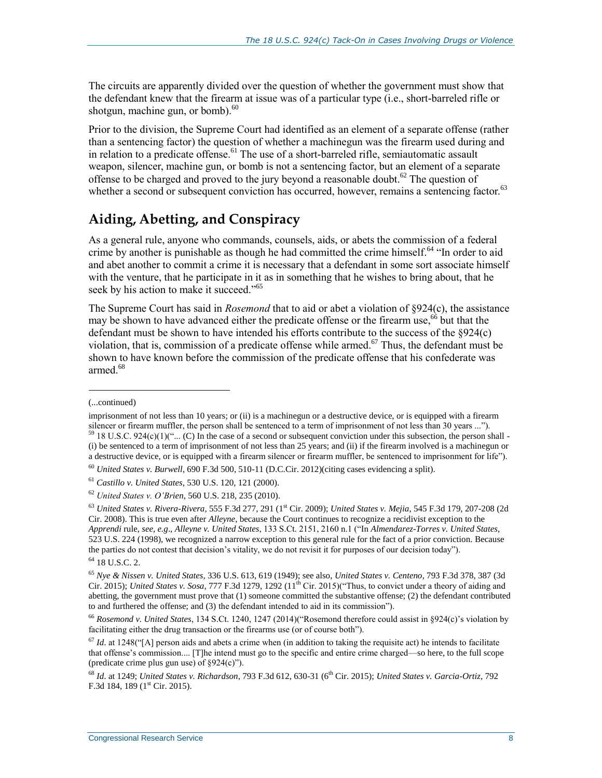The circuits are apparently divided over the question of whether the government must show that the defendant knew that the firearm at issue was of a particular type (i.e., short-barreled rifle or shotgun, machine gun, or bomb). $^{60}$ 

Prior to the division, the Supreme Court had identified as an element of a separate offense (rather than a sentencing factor) the question of whether a machinegun was the firearm used during and in relation to a predicate offense.<sup>61</sup> The use of a short-barreled rifle, semiautomatic assault weapon, silencer, machine gun, or bomb is not a sentencing factor, but an element of a separate offense to be charged and proved to the jury beyond a reasonable doubt.<sup>62</sup> The question of whether a second or subsequent conviction has occurred, however, remains a sentencing factor.<sup>63</sup>

# **Aiding, Abetting, and Conspiracy**

As a general rule, anyone who commands, counsels, aids, or abets the commission of a federal crime by another is punishable as though he had committed the crime himself.<sup>64</sup> "In order to aid and abet another to commit a crime it is necessary that a defendant in some sort associate himself with the venture, that he participate in it as in something that he wishes to bring about, that he seek by his action to make it succeed."<sup>65</sup>

The Supreme Court has said in *Rosemond* that to aid or abet a violation of §924(c), the assistance may be shown to have advanced either the predicate offense or the firearm use,<sup>66</sup> but that the defendant must be shown to have intended his efforts contribute to the success of the §924(c) violation, that is, commission of a predicate offense while armed.<sup>67</sup> Thus, the defendant must be shown to have known before the commission of the predicate offense that his confederate was armed.<sup>68</sup>

l

<sup>(...</sup>continued)

imprisonment of not less than 10 years; or (ii) is a machinegun or a destructive device, or is equipped with a firearm silencer or firearm muffler, the person shall be sentenced to a term of imprisonment of not less than 30 years ...").  $59.98 \text{ U.S.C. } 924(c)(1)$ ("... (C) In the case of a second or subsequent conviction under this subsection, the person shall -

<sup>(</sup>i) be sentenced to a term of imprisonment of not less than 25 years; and (ii) if the firearm involved is a machinegun or a destructive device, or is equipped with a firearm silencer or firearm muffler, be sentenced to imprisonment for life").

<sup>60</sup> *United States v. Burwell*, 690 F.3d 500, 510-11 (D.C.Cir. 2012)(citing cases evidencing a split).

<sup>61</sup> *Castillo v. United States*, 530 U.S. 120, 121 (2000).

<sup>62</sup> *United States v. O'Brien*, 560 U.S. 218, 235 (2010).

<sup>63</sup> *United States v. Rivera-Rivera,* 555 F.3d 277, 291 (1st Cir. 2009); *United States v. Mejia*, 545 F.3d 179, 207-208 (2d Cir. 2008). This is true even after *Alleyne*, because the Court continues to recognize a recidivist exception to the *Apprendi* rule, *see, e.g*., *Alleyne v. United States*, 133 S.Ct. 2151, 2160 n.1 ("In *Almendarez-Torres v. United States*, 523 U.S. 224 (1998), we recognized a narrow exception to this general rule for the fact of a prior conviction. Because the parties do not contest that decision's vitality, we do not revisit it for purposes of our decision today").

<sup>64</sup> 18 U.S.C. 2.

<sup>65</sup> *Nye & Nissen v. United States*, 336 U.S. 613, 619 (1949); see also, *United States v. Centeno*, 793 F.3d 378, 387 (3d Cir. 2015); *United States v. Sosa*, 777 F.3d 1279, 1292  $(11^{th}$  Cir. 2015)("Thus, to convict under a theory of aiding and abetting, the government must prove that (1) someone committed the substantive offense; (2) the defendant contributed to and furthered the offense; and (3) the defendant intended to aid in its commission").

<sup>66</sup> *Rosemond v. United States*, 134 S.Ct. 1240, 1247 (2014)("Rosemond therefore could assist in §924(c)'s violation by facilitating either the drug transaction or the firearms use (or of course both").

 $67$  *Id.* at 1248("[A] person aids and abets a crime when (in addition to taking the requisite act) he intends to facilitate that offense's commission.... [T]he intend must go to the specific and entire crime charged—so here, to the full scope (predicate crime plus gun use) of  $\S 924(c)$ ").

<sup>68</sup> *Id*. at 1249; *United States v. Richardson*, 793 F.3d 612, 630-31 (6th Cir. 2015); *United States v. Garcia-Ortiz*, 792 F.3d 184, 189 ( $1<sup>st</sup>$  Cir. 2015).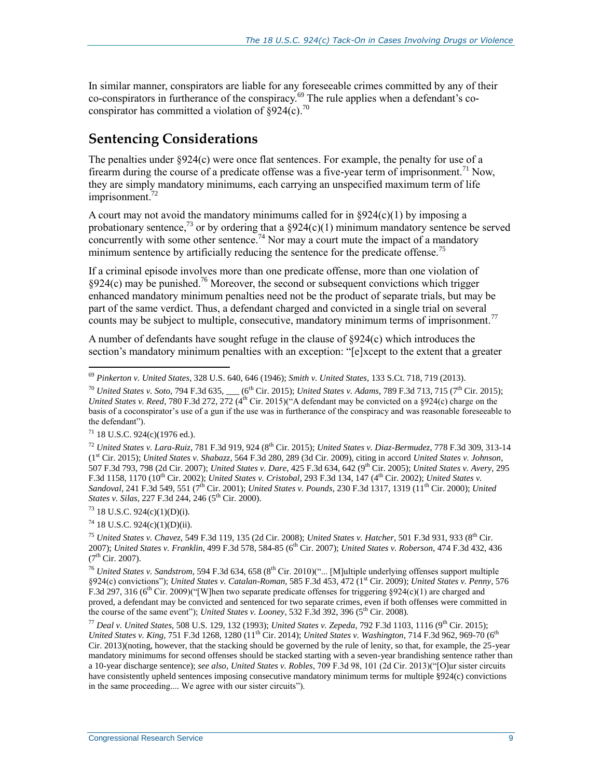In similar manner, conspirators are liable for any foreseeable crimes committed by any of their co-conspirators in furtherance of the conspiracy.<sup>69</sup> The rule applies when a defendant's coconspirator has committed a violation of  $\hat{\delta}$ 924(c).<sup>70</sup>

### **Sentencing Considerations**

The penalties under §924(c) were once flat sentences. For example, the penalty for use of a firearm during the course of a predicate offense was a five-year term of imprisonment.<sup>71</sup> Now, they are simply mandatory minimums, each carrying an unspecified maximum term of life imprisonment.<sup>72</sup>

A court may not avoid the mandatory minimums called for in  $\S 924(c)(1)$  by imposing a probationary sentence,<sup>73</sup> or by ordering that a  $\S 924(c)(1)$  minimum mandatory sentence be served concurrently with some other sentence.<sup>74</sup> Nor may a court mute the impact of a mandatory minimum sentence by artificially reducing the sentence for the predicate offense.<sup>75</sup>

If a criminal episode involves more than one predicate offense, more than one violation of  $§924(c)$  may be punished.<sup>76</sup> Moreover, the second or subsequent convictions which trigger enhanced mandatory minimum penalties need not be the product of separate trials, but may be part of the same verdict. Thus, a defendant charged and convicted in a single trial on several counts may be subject to multiple, consecutive, mandatory minimum terms of imprisonment.<sup>77</sup>

A number of defendants have sought refuge in the clause of §924(c) which introduces the section's mandatory minimum penalties with an exception: "[e]xcept to the extent that a greater

 $\overline{a}$ 

<sup>73</sup> 18 U.S.C. 924(c)(1)(D)(i).

 $74$  18 U.S.C. 924(c)(1)(D)(ii).

<sup>75</sup> *United States v. Chavez*, 549 F.3d 119, 135 (2d Cir. 2008); *United States v. Hatcher*, 501 F.3d 931, 933 (8th Cir. 2007); *United States v. Franklin*, 499 F.3d 578, 584-85 (6th Cir. 2007); *United States v. Roberson*, 474 F.3d 432, 436  $(7^{th}$  Cir. 2007).

<sup>76</sup> United States v. Sandstrom, 594 F.3d 634, 658 (8<sup>th</sup> Cir. 2010)("... [M]ultiple underlying offenses support multiple §924(c) convictions"); *United States v. Catalan-Roman*, 585 F.3d 453, 472 (1st Cir. 2009); *United States v. Penny*, 576 F.3d 297, 316 (6<sup>th</sup> Cir. 2009)("[W]hen two separate predicate offenses for triggering §924(c)(1) are charged and proved, a defendant may be convicted and sentenced for two separate crimes, even if both offenses were committed in the course of the same event"); *United States v. Looney*, 532 F.3d 392, 396 ( $5<sup>th</sup>$  Cir. 2008).

<sup>77</sup> *Deal v. United States*, 508 U.S. 129, 132 (1993); *United States v. Zepeda*, 792 F.3d 1103, 1116 (9th Cir. 2015); *United States v. King, 751 F.3d 1268, 1280 (11<sup>th</sup> Cir. 2014); <i>United States v. Washington, 714 F.3d 962, 969-70 (6<sup>th</sup>)</sub>* Cir. 2013)(noting, however, that the stacking should be governed by the rule of lenity, so that, for example, the 25-year mandatory minimums for second offenses should be stacked starting with a seven-year brandishing sentence rather than a 10-year discharge sentence); *see also*, *United States v. Robles*, 709 F.3d 98, 101 (2d Cir. 2013)("[O]ur sister circuits have consistently upheld sentences imposing consecutive mandatory minimum terms for multiple §924(c) convictions in the same proceeding.... We agree with our sister circuits").

<sup>69</sup> *Pinkerton v. United States*, 328 U.S. 640, 646 (1946); *Smith v. United States*, 133 S.Ct. 718, 719 (2013).

<sup>&</sup>lt;sup>70</sup> *United States v. Soto*, 794 F.3d 635, \_\_\_ (6<sup>th</sup> Cir. 2015); *United States v. Adams*, 789 F.3d 713, 715 (7<sup>th</sup> Cir. 2015); *United States v. Reed*, 780 F.3d 272, 272 (4<sup>th</sup> Cir. 2015)("A defendant may be convicted on a §924(c) charge on the basis of a coconspirator's use of a gun if the use was in furtherance of the conspiracy and was reasonable foreseeable to the defendant").

 $71$  18 U.S.C. 924(c)(1976 ed.).

<sup>&</sup>lt;sup>72</sup> *United States v. Lara-Ruiz*, 781 F.3d 919, 924 (8<sup>th</sup> Cir. 2015); *United States v. Diaz-Bermudez*, 778 F.3d 309, 313-14 (1st Cir. 2015); *United States v. Shabazz*, 564 F.3d 280, 289 (3d Cir. 2009), citing in accord *United States v. Johnson*, 507 F.3d 793, 798 (2d Cir. 2007); *United States v. Dare*, 425 F.3d 634, 642 (9th Cir. 2005); *United States v. Avery*, 295 F.3d 1158, 1170 (10th Cir. 2002); *United States v. Cristobal*, 293 F.3d 134, 147 (4th Cir. 2002); *United States v.*  Sandoval, 241 F.3d 549, 551 (7<sup>th</sup> Cir. 2001); *United States v. Pounds*, 230 F.3d 1317, 1319 (11<sup>th</sup> Cir. 2000); *United States v. Silas*, 227 F.3d 244, 246 (5<sup>th</sup> Cir. 2000).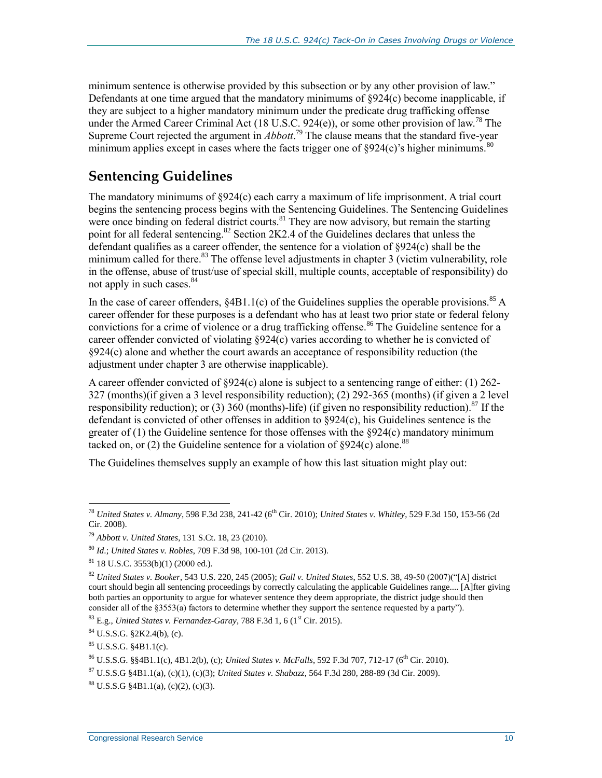minimum sentence is otherwise provided by this subsection or by any other provision of law." Defendants at one time argued that the mandatory minimums of §924(c) become inapplicable, if they are subject to a higher mandatory minimum under the predicate drug trafficking offense under the Armed Career Criminal Act (18 U.S.C. 924(e)), or some other provision of law.<sup>78</sup> The Supreme Court rejected the argument in *Abbott*. <sup>79</sup> The clause means that the standard five-year minimum applies except in cases where the facts trigger one of  $\frac{8924(c)}{s}$  higher minimums.<sup>80</sup>

### **Sentencing Guidelines**

The mandatory minimums of §924(c) each carry a maximum of life imprisonment. A trial court begins the sentencing process begins with the Sentencing Guidelines. The Sentencing Guidelines were once binding on federal district courts.<sup>81</sup> They are now advisory, but remain the starting point for all federal sentencing.<sup>82</sup> Section 2K2.4 of the Guidelines declares that unless the defendant qualifies as a career offender, the sentence for a violation of §924(c) shall be the minimum called for there. $83$  The offense level adjustments in chapter 3 (victim vulnerability, role in the offense, abuse of trust/use of special skill, multiple counts, acceptable of responsibility) do not apply in such cases.<sup>84</sup>

In the case of career offenders,  $\S 4B1.1(c)$  of the Guidelines supplies the operable provisions.<sup>85</sup> A career offender for these purposes is a defendant who has at least two prior state or federal felony convictions for a crime of violence or a drug trafficking offense.<sup>86</sup> The Guideline sentence for a career offender convicted of violating §924(c) varies according to whether he is convicted of §924(c) alone and whether the court awards an acceptance of responsibility reduction (the adjustment under chapter 3 are otherwise inapplicable).

A career offender convicted of §924(c) alone is subject to a sentencing range of either: (1) 262- 327 (months)(if given a 3 level responsibility reduction); (2) 292-365 (months) (if given a 2 level responsibility reduction); or (3) 360 (months)-life) (if given no responsibility reduction).<sup>87</sup> If the defendant is convicted of other offenses in addition to §924(c), his Guidelines sentence is the greater of (1) the Guideline sentence for those offenses with the §924(c) mandatory minimum tacked on, or (2) the Guideline sentence for a violation of  $\S 924(c)$  alone.<sup>88</sup>

The Guidelines themselves supply an example of how this last situation might play out:

 $83 \text{ E.g.}$  *United States v. Fernandez-Garay,* 788 F.3d 1, 6 (1<sup>st</sup> Cir. 2015).

 $84$  U.S.S.G. §2K2.4(b), (c).

<sup>&</sup>lt;sup>78</sup> *United States v. Almany,* 598 F.3d 238, 241-42 (6<sup>th</sup> Cir. 2010); *United States v. Whitley,* 529 F.3d 150, 153-56 (2d Cir. 2008).

<sup>79</sup> *Abbott v. United States*, 131 S.Ct. 18, 23 (2010).

<sup>80</sup> *Id*.; *United States v. Robles*, 709 F.3d 98, 100-101 (2d Cir. 2013).

 $81$  18 U.S.C. 3553(b)(1) (2000 ed.).

<sup>82</sup> *United States v. Booker*, 543 U.S. 220, 245 (2005); *Gall v. United States*, 552 U.S. 38, 49-50 (2007)("[A] district court should begin all sentencing proceedings by correctly calculating the applicable Guidelines range.... [A]fter giving both parties an opportunity to argue for whatever sentence they deem appropriate, the district judge should then consider all of the §3553(a) factors to determine whether they support the sentence requested by a party").

 $85$  U.S.S.G.  $$4B1.1(c)$ .

<sup>86</sup> U.S.S.G. §§4B1.1(c), 4B1.2(b), (c); *United States v. McFalls*, 592 F.3d 707, 712-17 (6th Cir. 2010).

<sup>87</sup> U.S.S.G §4B1.1(a), (c)(1), (c)(3); *United States v. Shabazz*, 564 F.3d 280, 288-89 (3d Cir. 2009).

 $88 \text{ U.S.S.G } $4B1.1(a), (c)(2), (c)(3).$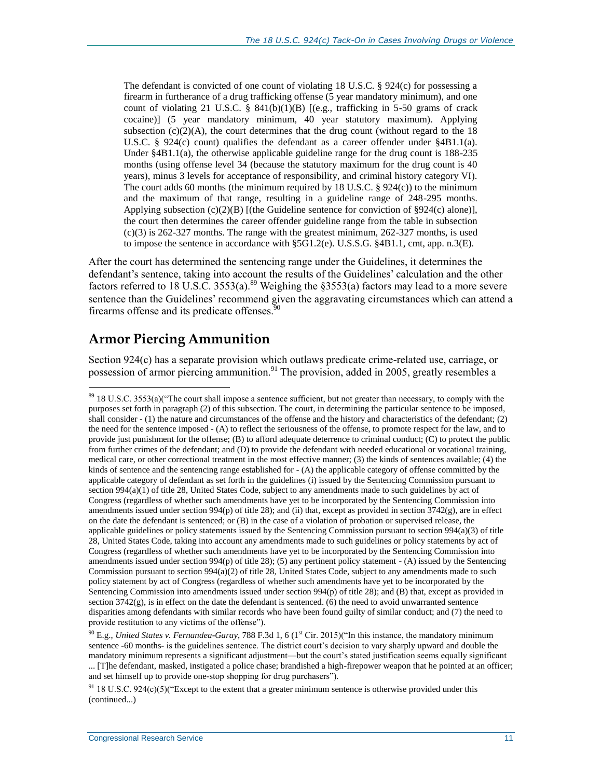The defendant is convicted of one count of violating 18 U.S.C. § 924(c) for possessing a firearm in furtherance of a drug trafficking offense (5 year mandatory minimum), and one count of violating 21 U.S.C. §  $841(b)(1)(B)$  [(e.g., trafficking in 5-50 grams of crack cocaine)] (5 year mandatory minimum, 40 year statutory maximum). Applying subsection  $(c)(2)(A)$ , the court determines that the drug count (without regard to the 18 U.S.C. § 924(c) count) qualifies the defendant as a career offender under §4B1.1(a). Under  $§4B1.1(a)$ , the otherwise applicable guideline range for the drug count is 188-235 months (using offense level 34 (because the statutory maximum for the drug count is 40 years), minus 3 levels for acceptance of responsibility, and criminal history category VI). The court adds 60 months (the minimum required by 18 U.S.C. § 924(c)) to the minimum and the maximum of that range, resulting in a guideline range of 248-295 months. Applying subsection  $(c)(2)(B)$  [(the Guideline sentence for conviction of §924(c) alone)], the court then determines the career offender guideline range from the table in subsection  $(c)(3)$  is 262-327 months. The range with the greatest minimum, 262-327 months, is used to impose the sentence in accordance with §5G1.2(e). U.S.S.G. §4B1.1, cmt, app. n.3(E).

After the court has determined the sentencing range under the Guidelines, it determines the defendant's sentence, taking into account the results of the Guidelines' calculation and the other factors referred to 18 U.S.C. 3553(a).<sup>89</sup> Weighing the §3553(a) factors may lead to a more severe sentence than the Guidelines' recommend given the aggravating circumstances which can attend a firearms offense and its predicate offenses. $\frac{50}{90}$ 

# **Armor Piercing Ammunition**

 $\overline{a}$ 

Section 924(c) has a separate provision which outlaws predicate crime-related use, carriage, or possession of armor piercing ammunition.<sup>91</sup> The provision, added in 2005, greatly resembles a

 $89$  18 U.S.C. 3553(a)("The court shall impose a sentence sufficient, but not greater than necessary, to comply with the purposes set forth in paragraph (2) of this subsection. The court, in determining the particular sentence to be imposed, shall consider - (1) the nature and circumstances of the offense and the history and characteristics of the defendant; (2) the need for the sentence imposed - (A) to reflect the seriousness of the offense, to promote respect for the law, and to provide just punishment for the offense; (B) to afford adequate deterrence to criminal conduct; (C) to protect the public from further crimes of the defendant; and (D) to provide the defendant with needed educational or vocational training, medical care, or other correctional treatment in the most effective manner; (3) the kinds of sentences available; (4) the kinds of sentence and the sentencing range established for - (A) the applicable category of offense committed by the applicable category of defendant as set forth in the guidelines (i) issued by the Sentencing Commission pursuant to section 994(a)(1) of title 28, United States Code, subject to any amendments made to such guidelines by act of Congress (regardless of whether such amendments have yet to be incorporated by the Sentencing Commission into amendments issued under section  $994(p)$  of title 28); and (ii) that, except as provided in section  $3742(g)$ , are in effect on the date the defendant is sentenced; or (B) in the case of a violation of probation or supervised release, the applicable guidelines or policy statements issued by the Sentencing Commission pursuant to section 994(a)(3) of title 28, United States Code, taking into account any amendments made to such guidelines or policy statements by act of Congress (regardless of whether such amendments have yet to be incorporated by the Sentencing Commission into amendments issued under section 994(p) of title 28); (5) any pertinent policy statement - (A) issued by the Sentencing Commission pursuant to section 994(a)(2) of title 28, United States Code, subject to any amendments made to such policy statement by act of Congress (regardless of whether such amendments have yet to be incorporated by the Sentencing Commission into amendments issued under section 994(p) of title 28); and (B) that, except as provided in section  $3742(g)$ , is in effect on the date the defendant is sentenced. (6) the need to avoid unwarranted sentence disparities among defendants with similar records who have been found guilty of similar conduct; and (7) the need to provide restitution to any victims of the offense").

<sup>&</sup>lt;sup>90</sup> E.g., *United States v. Fernandea-Garay*, 788 F.3d 1, 6 (1<sup>st</sup> Cir. 2015)("In this instance, the mandatory minimum sentence -60 months- is the guidelines sentence. The district court's decision to vary sharply upward and double the mandatory minimum represents a significant adjustment—but the court's stated justification seems equally significant ... [T]he defendant, masked, instigated a police chase; brandished a high-firepower weapon that he pointed at an officer; and set himself up to provide one-stop shopping for drug purchasers").

 $91$  18 U.S.C. 924(c)(5)("Except to the extent that a greater minimum sentence is otherwise provided under this (continued...)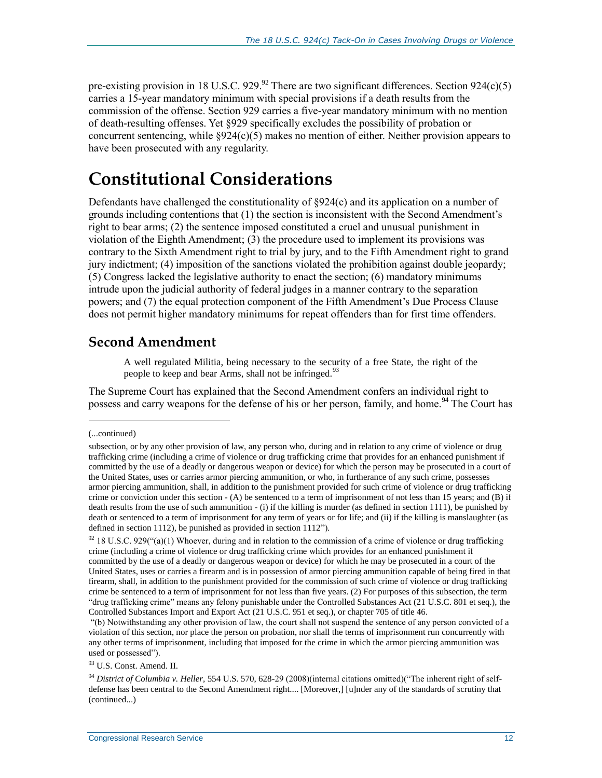pre-existing provision in 18 U.S.C. 929.<sup>92</sup> There are two significant differences. Section 924(c)(5) carries a 15-year mandatory minimum with special provisions if a death results from the commission of the offense. Section 929 carries a five-year mandatory minimum with no mention of death-resulting offenses. Yet §929 specifically excludes the possibility of probation or concurrent sentencing, while  $\S 924(c)(5)$  makes no mention of either. Neither provision appears to have been prosecuted with any regularity.

# **Constitutional Considerations**

Defendants have challenged the constitutionality of §924(c) and its application on a number of grounds including contentions that (1) the section is inconsistent with the Second Amendment's right to bear arms; (2) the sentence imposed constituted a cruel and unusual punishment in violation of the Eighth Amendment; (3) the procedure used to implement its provisions was contrary to the Sixth Amendment right to trial by jury, and to the Fifth Amendment right to grand jury indictment; (4) imposition of the sanctions violated the prohibition against double jeopardy; (5) Congress lacked the legislative authority to enact the section; (6) mandatory minimums intrude upon the judicial authority of federal judges in a manner contrary to the separation powers; and (7) the equal protection component of the Fifth Amendment's Due Process Clause does not permit higher mandatory minimums for repeat offenders than for first time offenders.

#### **Second Amendment**

A well regulated Militia, being necessary to the security of a free State, the right of the people to keep and bear Arms, shall not be infringed.<sup>93</sup>

The Supreme Court has explained that the Second Amendment confers an individual right to possess and carry weapons for the defense of his or her person, family, and home.<sup>94</sup> The Court has

<sup>(...</sup>continued)

subsection, or by any other provision of law, any person who, during and in relation to any crime of violence or drug trafficking crime (including a crime of violence or drug trafficking crime that provides for an enhanced punishment if committed by the use of a deadly or dangerous weapon or device) for which the person may be prosecuted in a court of the United States, uses or carries armor piercing ammunition, or who, in furtherance of any such crime, possesses armor piercing ammunition, shall, in addition to the punishment provided for such crime of violence or drug trafficking crime or conviction under this section - (A) be sentenced to a term of imprisonment of not less than 15 years; and (B) if death results from the use of such ammunition - (i) if the killing is murder (as defined in section 1111), be punished by death or sentenced to a term of imprisonment for any term of years or for life; and (ii) if the killing is manslaughter (as defined in section 1112), be punished as provided in section 1112").

 $92$  18 U.S.C. 929("(a)(1) Whoever, during and in relation to the commission of a crime of violence or drug trafficking crime (including a crime of violence or drug trafficking crime which provides for an enhanced punishment if committed by the use of a deadly or dangerous weapon or device) for which he may be prosecuted in a court of the United States, uses or carries a firearm and is in possession of armor piercing ammunition capable of being fired in that firearm, shall, in addition to the punishment provided for the commission of such crime of violence or drug trafficking crime be sentenced to a term of imprisonment for not less than five years. (2) For purposes of this subsection, the term "drug trafficking crime" means any felony punishable under the Controlled Substances Act (21 U.S.C. 801 et seq.), the Controlled Substances Import and Export Act (21 U.S.C. 951 et seq.), or chapter 705 of title 46.

<sup>&</sup>quot;(b) Notwithstanding any other provision of law, the court shall not suspend the sentence of any person convicted of a violation of this section, nor place the person on probation, nor shall the terms of imprisonment run concurrently with any other terms of imprisonment, including that imposed for the crime in which the armor piercing ammunition was used or possessed").

<sup>93</sup> U.S. Const. Amend. II.

<sup>94</sup> *District of Columbia v. Heller*, 554 U.S. 570, 628-29 (2008)(internal citations omitted)("The inherent right of selfdefense has been central to the Second Amendment right.... [Moreover,] [u]nder any of the standards of scrutiny that (continued...)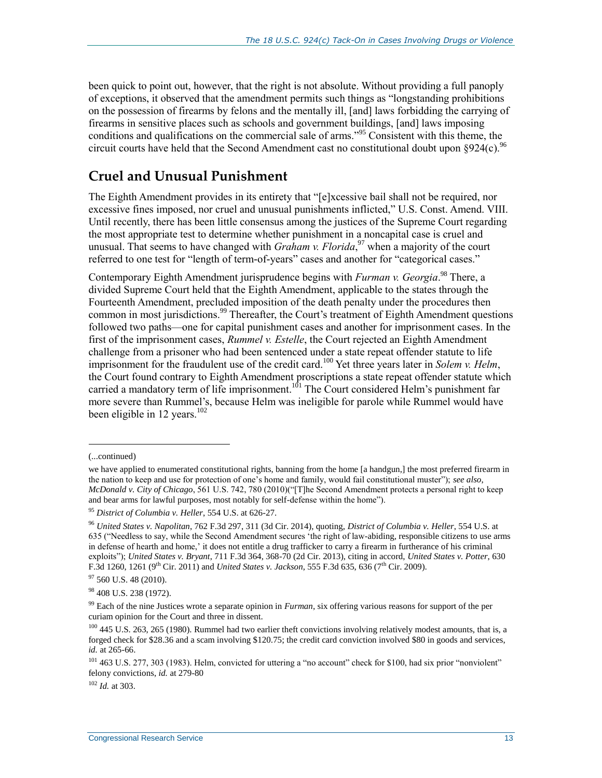been quick to point out, however, that the right is not absolute. Without providing a full panoply of exceptions, it observed that the amendment permits such things as "longstanding prohibitions on the possession of firearms by felons and the mentally ill, [and] laws forbidding the carrying of firearms in sensitive places such as schools and government buildings, [and] laws imposing conditions and qualifications on the commercial sale of arms."<sup>95</sup> Consistent with this theme, the circuit courts have held that the Second Amendment cast no constitutional doubt upon  $\S 924(c)$ .<sup>96</sup>

#### **Cruel and Unusual Punishment**

The Eighth Amendment provides in its entirety that "[e]xcessive bail shall not be required, nor excessive fines imposed, nor cruel and unusual punishments inflicted," U.S. Const. Amend. VIII. Until recently, there has been little consensus among the justices of the Supreme Court regarding the most appropriate test to determine whether punishment in a noncapital case is cruel and unusual. That seems to have changed with *Graham v. Florida*, <sup>97</sup> when a majority of the court referred to one test for "length of term-of-years" cases and another for "categorical cases."

Contemporary Eighth Amendment jurisprudence begins with *Furman v. Georgia*.<sup>98</sup> There, a divided Supreme Court held that the Eighth Amendment, applicable to the states through the Fourteenth Amendment, precluded imposition of the death penalty under the procedures then common in most jurisdictions.<sup>99</sup> Thereafter, the Court's treatment of Eighth Amendment questions followed two paths—one for capital punishment cases and another for imprisonment cases. In the first of the imprisonment cases, *Rummel v. Estelle*, the Court rejected an Eighth Amendment challenge from a prisoner who had been sentenced under a state repeat offender statute to life imprisonment for the fraudulent use of the credit card.<sup>100</sup> Yet three years later in *Solem v. Helm*, the Court found contrary to Eighth Amendment proscriptions a state repeat offender statute which carried a mandatory term of life imprisonment.<sup>101</sup> The Court considered Helm's punishment far more severe than Rummel's, because Helm was ineligible for parole while Rummel would have been eligible in 12 years.<sup>102</sup>

l

 $97$  560 U.S. 48 (2010).

<sup>102</sup> *Id.* at 303.

<sup>(...</sup>continued)

we have applied to enumerated constitutional rights, banning from the home [a handgun,] the most preferred firearm in the nation to keep and use for protection of one's home and family, would fail constitutional muster"); *see also*, *McDonald v. City of Chicago*, 561 U.S. 742, 780 (2010)("[T]he Second Amendment protects a personal right to keep and bear arms for lawful purposes, most notably for self-defense within the home").

<sup>95</sup> *District of Columbia v. Heller*, 554 U.S. at 626-27.

<sup>96</sup> *United States v. Napolitan*, 762 F.3d 297, 311 (3d Cir. 2014), quoting, *District of Columbia v. Heller*, 554 U.S. at 635 ("Needless to say, while the Second Amendment secures 'the right of law-abiding, responsible citizens to use arms in defense of hearth and home,' it does not entitle a drug trafficker to carry a firearm in furtherance of his criminal exploits"); *United States v. Bryant*, 711 F.3d 364, 368-70 (2d Cir. 2013), citing in accord, *United States v. Potter*, 630 F.3d 1260, 1261 (9<sup>th</sup> Cir. 2011) and *United States v. Jackson*, 555 F.3d 635, 636 (7<sup>th</sup> Cir. 2009).

<sup>98</sup> 408 U.S. 238 (1972).

<sup>99</sup> Each of the nine Justices wrote a separate opinion in *Furman*, six offering various reasons for support of the per curiam opinion for the Court and three in dissent.

 $100$  445 U.S. 263, 265 (1980). Rummel had two earlier theft convictions involving relatively modest amounts, that is, a forged check for \$28.36 and a scam involving \$120.75; the credit card conviction involved \$80 in goods and services, *id.* at 265-66.

<sup>&</sup>lt;sup>101</sup> 463 U.S. 277, 303 (1983). Helm, convicted for uttering a "no account" check for \$100, had six prior "nonviolent" felony convictions, *id.* at 279-80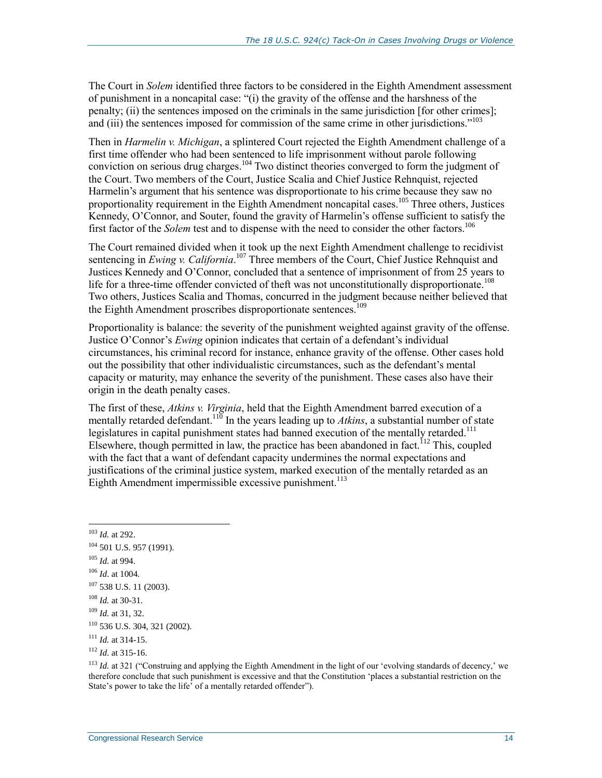The Court in *Solem* identified three factors to be considered in the Eighth Amendment assessment of punishment in a noncapital case: "(i) the gravity of the offense and the harshness of the penalty; (ii) the sentences imposed on the criminals in the same jurisdiction [for other crimes]; and (iii) the sentences imposed for commission of the same crime in other jurisdictions."<sup>103</sup>

Then in *Harmelin v. Michigan*, a splintered Court rejected the Eighth Amendment challenge of a first time offender who had been sentenced to life imprisonment without parole following conviction on serious drug charges.<sup>104</sup> Two distinct theories converged to form the judgment of the Court. Two members of the Court, Justice Scalia and Chief Justice Rehnquist, rejected Harmelin's argument that his sentence was disproportionate to his crime because they saw no proportionality requirement in the Eighth Amendment noncapital cases.<sup>105</sup> Three others, Justices Kennedy, O'Connor, and Souter, found the gravity of Harmelin's offense sufficient to satisfy the first factor of the *Solem* test and to dispense with the need to consider the other factors.<sup>106</sup>

The Court remained divided when it took up the next Eighth Amendment challenge to recidivist sentencing in *Ewing v. California*.<sup>107</sup> Three members of the Court, Chief Justice Rehnquist and Justices Kennedy and O'Connor, concluded that a sentence of imprisonment of from 25 years to life for a three-time offender convicted of theft was not unconstitutionally disproportionate.<sup>108</sup> Two others, Justices Scalia and Thomas, concurred in the judgment because neither believed that the Eighth Amendment proscribes disproportionate sentences.<sup>109</sup>

Proportionality is balance: the severity of the punishment weighted against gravity of the offense. Justice O'Connor's *Ewing* opinion indicates that certain of a defendant's individual circumstances, his criminal record for instance, enhance gravity of the offense. Other cases hold out the possibility that other individualistic circumstances, such as the defendant's mental capacity or maturity, may enhance the severity of the punishment. These cases also have their origin in the death penalty cases.

The first of these, *Atkins v. Virginia*, held that the Eighth Amendment barred execution of a mentally retarded defendant.<sup>110</sup> In the years leading up to Atkins, a substantial number of state legislatures in capital punishment states had banned execution of the mentally retarded.<sup>111</sup> Elsewhere, though permitted in law, the practice has been abandoned in fact.<sup>112</sup> This, coupled with the fact that a want of defendant capacity undermines the normal expectations and justifications of the criminal justice system, marked execution of the mentally retarded as an Eighth Amendment impermissible excessive punishment.<sup>113</sup>

 $\overline{a}$ 

- <sup>105</sup> *Id*. at 994.
- <sup>106</sup> *Id*. at 1004.

<sup>108</sup> *Id.* at 30-31.

<sup>103</sup> *Id.* at 292.

<sup>&</sup>lt;sup>104</sup> 501 U.S. 957 (1991).

 $107$  538 U.S. 11 (2003).

<sup>109</sup> *Id.* at 31, 32.

<sup>110</sup> 536 U.S. 304, 321 (2002).

 $111$  *Id.* at 314-15.

<sup>112</sup> *Id*. at 315-16.

<sup>&</sup>lt;sup>113</sup> *Id.* at 321 ("Construing and applying the Eighth Amendment in the light of our 'evolving standards of decency,' we therefore conclude that such punishment is excessive and that the Constitution 'places a substantial restriction on the State's power to take the life' of a mentally retarded offender").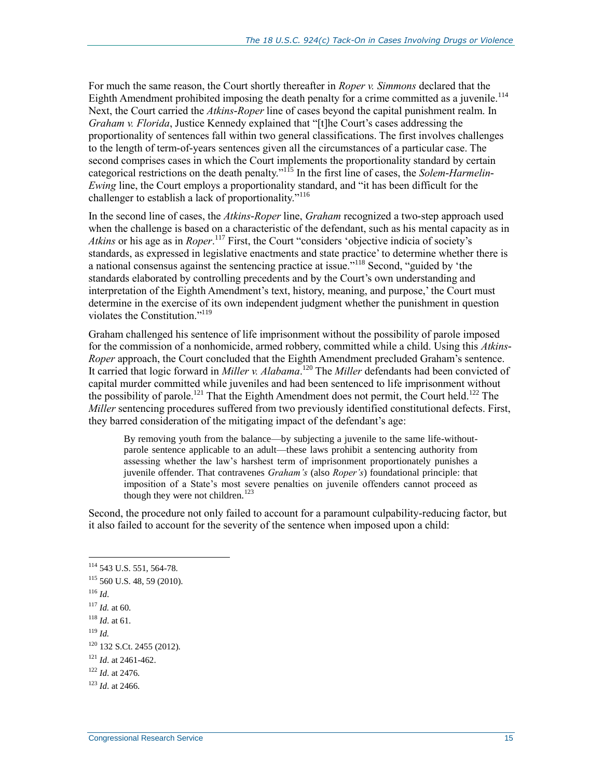For much the same reason, the Court shortly thereafter in *Roper v. Simmons* declared that the Eighth Amendment prohibited imposing the death penalty for a crime committed as a juvenile.<sup>114</sup> Next, the Court carried the *Atkins-Roper* line of cases beyond the capital punishment realm. In *Graham v. Florida*, Justice Kennedy explained that "[t]he Court's cases addressing the proportionality of sentences fall within two general classifications. The first involves challenges to the length of term-of-years sentences given all the circumstances of a particular case. The second comprises cases in which the Court implements the proportionality standard by certain categorical restrictions on the death penalty."<sup>115</sup> In the first line of cases, the *Solem-Harmelin-Ewing* line, the Court employs a proportionality standard, and "it has been difficult for the challenger to establish a lack of proportionality."<sup>116</sup>

In the second line of cases, the *Atkins-Roper* line, *Graham* recognized a two-step approach used when the challenge is based on a characteristic of the defendant, such as his mental capacity as in *Atkins* or his age as in *Roper*. <sup>117</sup> First, the Court "considers 'objective indicia of society's standards, as expressed in legislative enactments and state practice' to determine whether there is a national consensus against the sentencing practice at issue."<sup>118</sup> Second, "guided by 'the standards elaborated by controlling precedents and by the Court's own understanding and interpretation of the Eighth Amendment's text, history, meaning, and purpose,' the Court must determine in the exercise of its own independent judgment whether the punishment in question violates the Constitution."<sup>119</sup>

Graham challenged his sentence of life imprisonment without the possibility of parole imposed for the commission of a nonhomicide, armed robbery, committed while a child. Using this *Atkins-Roper* approach, the Court concluded that the Eighth Amendment precluded Graham's sentence. It carried that logic forward in *Miller v. Alabama*. <sup>120</sup> The *Miller* defendants had been convicted of capital murder committed while juveniles and had been sentenced to life imprisonment without the possibility of parole.<sup>121</sup> That the Eighth Amendment does not permit, the Court held.<sup>122</sup> The *Miller* sentencing procedures suffered from two previously identified constitutional defects. First, they barred consideration of the mitigating impact of the defendant's age:

By removing youth from the balance—by subjecting a juvenile to the same life-withoutparole sentence applicable to an adult—these laws prohibit a sentencing authority from assessing whether the law's harshest term of imprisonment proportionately punishes a juvenile offender. That contravenes *Graham's* (also *Roper's*) foundational principle: that imposition of a State's most severe penalties on juvenile offenders cannot proceed as though they were not children.<sup>123</sup>

Second, the procedure not only failed to account for a paramount culpability-reducing factor, but it also failed to account for the severity of the sentence when imposed upon a child:

<sup>116</sup> *Id*.

 $\overline{a}$ 

<sup>119</sup> *Id.*

<sup>114</sup> 543 U.S. 551, 564-78.

<sup>115</sup> 560 U.S. 48, 59 (2010).

<sup>117</sup> *Id.* at 60.

<sup>118</sup> *Id*. at 61.

 $120$  132 S.Ct. 2455 (2012).

<sup>121</sup> *Id*. at 2461-462.

<sup>122</sup> *Id*. at 2476.

<sup>123</sup> *Id*. at 2466.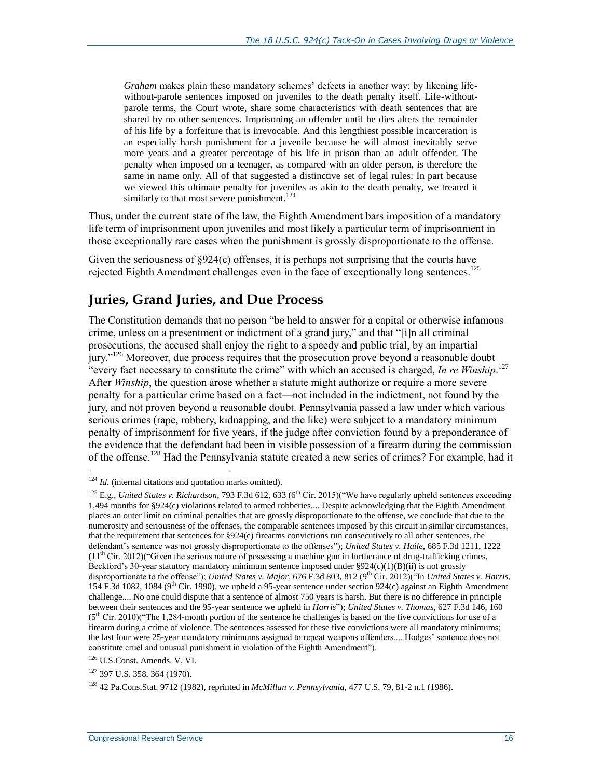*Graham* makes plain these mandatory schemes' defects in another way: by likening lifewithout-parole sentences imposed on juveniles to the death penalty itself. Life-withoutparole terms, the Court wrote, share some characteristics with death sentences that are shared by no other sentences. Imprisoning an offender until he dies alters the remainder of his life by a forfeiture that is irrevocable. And this lengthiest possible incarceration is an especially harsh punishment for a juvenile because he will almost inevitably serve more years and a greater percentage of his life in prison than an adult offender. The penalty when imposed on a teenager, as compared with an older person, is therefore the same in name only. All of that suggested a distinctive set of legal rules: In part because we viewed this ultimate penalty for juveniles as akin to the death penalty, we treated it similarly to that most severe punishment.<sup>124</sup>

Thus, under the current state of the law, the Eighth Amendment bars imposition of a mandatory life term of imprisonment upon juveniles and most likely a particular term of imprisonment in those exceptionally rare cases when the punishment is grossly disproportionate to the offense.

Given the seriousness of  $\S 924(c)$  offenses, it is perhaps not surprising that the courts have rejected Eighth Amendment challenges even in the face of exceptionally long sentences.<sup>125</sup>

### **Juries, Grand Juries, and Due Process**

The Constitution demands that no person "be held to answer for a capital or otherwise infamous crime, unless on a presentment or indictment of a grand jury," and that "[i]n all criminal prosecutions, the accused shall enjoy the right to a speedy and public trial, by an impartial jury."<sup>126</sup> Moreover, due process requires that the prosecution prove beyond a reasonable doubt "every fact necessary to constitute the crime" with which an accused is charged, *In re Winship*. 127 After *Winship*, the question arose whether a statute might authorize or require a more severe penalty for a particular crime based on a fact—not included in the indictment, not found by the jury, and not proven beyond a reasonable doubt. Pennsylvania passed a law under which various serious crimes (rape, robbery, kidnapping, and the like) were subject to a mandatory minimum penalty of imprisonment for five years, if the judge after conviction found by a preponderance of the evidence that the defendant had been in visible possession of a firearm during the commission of the offense.<sup>128</sup> Had the Pennsylvania statute created a new series of crimes? For example, had it

<sup>&</sup>lt;sup>124</sup> *Id.* (internal citations and quotation marks omitted).

<sup>&</sup>lt;sup>125</sup> E.g., *United States v. Richardson*, 793 F.3d 612, 633 (6<sup>th</sup> Cir. 2015)("We have regularly upheld sentences exceeding 1,494 months for §924(c) violations related to armed robberies.... Despite acknowledging that the Eighth Amendment places an outer limit on criminal penalties that are grossly disproportionate to the offense, we conclude that due to the numerosity and seriousness of the offenses, the comparable sentences imposed by this circuit in similar circumstances, that the requirement that sentences for  $\S 924(c)$  firearms convictions run consecutively to all other sentences, the defendant's sentence was not grossly disproportionate to the offenses"); *United States v. Haile*, 685 F.3d 1211, 1222  $(11<sup>th</sup> Cir. 2012)$  ("Given the serious nature of possessing a machine gun in furtherance of drug-trafficking crimes, Beckford's 30-year statutory mandatory minimum sentence imposed under §924(c)(1)(B)(ii) is not grossly disproportionate to the offense"); *United States v. Major*, 676 F.3d 803, 812 (9<sup>th</sup> Cir. 2012)("In *United States v. Harris*, 154 F.3d 1082, 1084 ( $9<sup>th</sup>$  Cir. 1990), we upheld a 95-year sentence under section 924(c) against an Eighth Amendment challenge.... No one could dispute that a sentence of almost 750 years is harsh. But there is no difference in principle between their sentences and the 95-year sentence we upheld in *Harris*"); *United States v. Thomas*, 627 F.3d 146, 160  $(5<sup>th</sup> Cir. 2010)$  ("The 1,284-month portion of the sentence he challenges is based on the five convictions for use of a firearm during a crime of violence. The sentences assessed for these five convictions were all mandatory minimums; the last four were 25-year mandatory minimums assigned to repeat weapons offenders.... Hodges' sentence does not constitute cruel and unusual punishment in violation of the Eighth Amendment").

<sup>126</sup> U.S.Const. Amends. V, VI.

<sup>127</sup> 397 U.S. 358, 364 (1970).

<sup>128</sup> 42 Pa.Cons.Stat. 9712 (1982), reprinted in *McMillan v. Pennsylvania*, 477 U.S. 79, 81-2 n.1 (1986).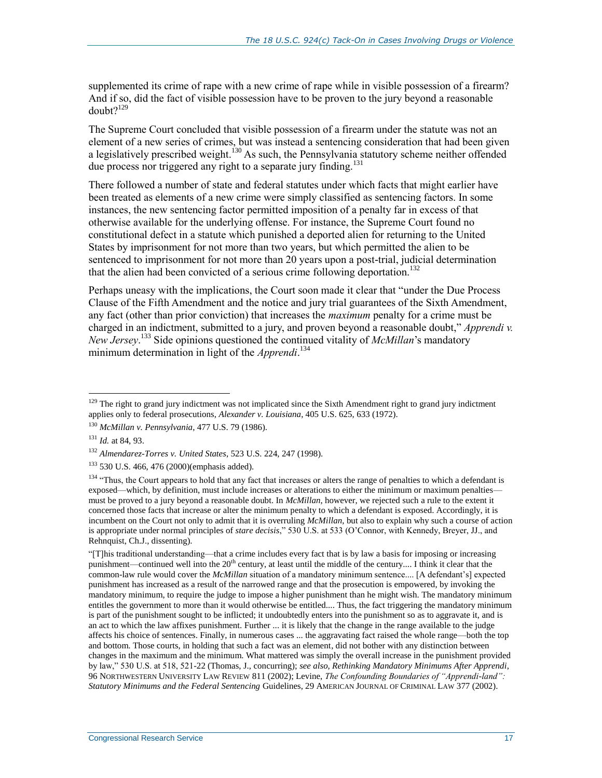supplemented its crime of rape with a new crime of rape while in visible possession of a firearm? And if so, did the fact of visible possession have to be proven to the jury beyond a reasonable doubt?<sup>129</sup>

The Supreme Court concluded that visible possession of a firearm under the statute was not an element of a new series of crimes, but was instead a sentencing consideration that had been given a legislatively prescribed weight.<sup>130</sup> As such, the Pennsylvania statutory scheme neither offended due process nor triggered any right to a separate jury finding.<sup>131</sup>

There followed a number of state and federal statutes under which facts that might earlier have been treated as elements of a new crime were simply classified as sentencing factors. In some instances, the new sentencing factor permitted imposition of a penalty far in excess of that otherwise available for the underlying offense. For instance, the Supreme Court found no constitutional defect in a statute which punished a deported alien for returning to the United States by imprisonment for not more than two years, but which permitted the alien to be sentenced to imprisonment for not more than 20 years upon a post-trial, judicial determination that the alien had been convicted of a serious crime following deportation.<sup>132</sup>

Perhaps uneasy with the implications, the Court soon made it clear that "under the Due Process Clause of the Fifth Amendment and the notice and jury trial guarantees of the Sixth Amendment, any fact (other than prior conviction) that increases the *maximum* penalty for a crime must be charged in an indictment, submitted to a jury, and proven beyond a reasonable doubt," *Apprendi v. New Jersey*. <sup>133</sup> Side opinions questioned the continued vitality of *McMillan*'s mandatory minimum determination in light of the *Apprendi*. 134

 $\overline{a}$ 

"[T]his traditional understanding—that a crime includes every fact that is by law a basis for imposing or increasing punishment—continued well into the  $20<sup>th</sup>$  century, at least until the middle of the century.... I think it clear that the common-law rule would cover the *McMillan* situation of a mandatory minimum sentence.... [A defendant's] expected punishment has increased as a result of the narrowed range and that the prosecution is empowered, by invoking the mandatory minimum, to require the judge to impose a higher punishment than he might wish. The mandatory minimum entitles the government to more than it would otherwise be entitled.... Thus, the fact triggering the mandatory minimum is part of the punishment sought to be inflicted; it undoubtedly enters into the punishment so as to aggravate it, and is an act to which the law affixes punishment. Further ... it is likely that the change in the range available to the judge affects his choice of sentences. Finally, in numerous cases ... the aggravating fact raised the whole range—both the top and bottom. Those courts, in holding that such a fact was an element, did not bother with any distinction between changes in the maximum and the minimum. What mattered was simply the overall increase in the punishment provided by law," 530 U.S. at 518, 521-22 (Thomas, J., concurring); *see also, Rethinking Mandatory Minimums After Apprendi*, 96 NORTHWESTERN UNIVERSITY LAW REVIEW 811 (2002); Levine, *The Confounding Boundaries of "Apprendi-land": Statutory Minimums and the Federal Sentencing* Guidelines, 29 AMERICAN JOURNAL OF CRIMINAL LAW 377 (2002).

 $129$  The right to grand jury indictment was not implicated since the Sixth Amendment right to grand jury indictment applies only to federal prosecutions, *Alexander v. Louisiana*, 405 U.S. 625, 633 (1972).

<sup>130</sup> *McMillan v. Pennsylvania*, 477 U.S. 79 (1986).

<sup>131</sup> *Id.* at 84, 93.

<sup>132</sup> *Almendarez-Torres v. United States*, 523 U.S. 224, 247 (1998).

<sup>133</sup> 530 U.S. 466, 476 (2000)(emphasis added).

<sup>&</sup>lt;sup>134</sup> "Thus, the Court appears to hold that any fact that increases or alters the range of penalties to which a defendant is exposed—which, by definition, must include increases or alterations to either the minimum or maximum penalties must be proved to a jury beyond a reasonable doubt. In *McMillan*, however, we rejected such a rule to the extent it concerned those facts that increase or alter the minimum penalty to which a defendant is exposed. Accordingly, it is incumbent on the Court not only to admit that it is overruling *McMillan*, but also to explain why such a course of action is appropriate under normal principles of *stare decisis*," 530 U.S. at 533 (O'Connor, with Kennedy, Breyer, JJ., and Rehnquist, Ch.J., dissenting).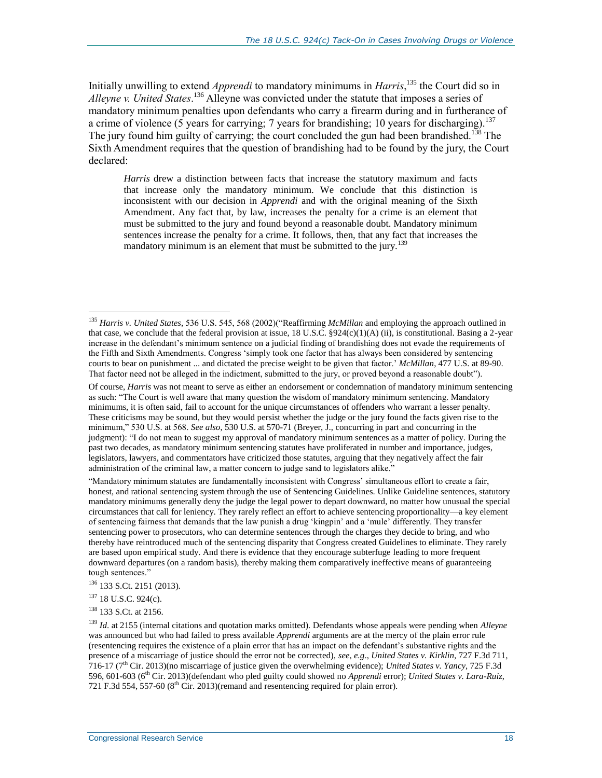Initially unwilling to extend *Apprendi* to mandatory minimums in *Harris*, <sup>135</sup> the Court did so in *Alleyne v. United States*. <sup>136</sup> Alleyne was convicted under the statute that imposes a series of mandatory minimum penalties upon defendants who carry a firearm during and in furtherance of a crime of violence (5 years for carrying; 7 years for brandishing; 10 years for discharging).<sup>137</sup> The jury found him guilty of carrying; the court concluded the gun had been brandished.<sup>138</sup> The Sixth Amendment requires that the question of brandishing had to be found by the jury, the Court declared:

*Harris* drew a distinction between facts that increase the statutory maximum and facts that increase only the mandatory minimum. We conclude that this distinction is inconsistent with our decision in *Apprendi* and with the original meaning of the Sixth Amendment. Any fact that, by law, increases the penalty for a crime is an element that must be submitted to the jury and found beyond a reasonable doubt. Mandatory minimum sentences increase the penalty for a crime. It follows, then, that any fact that increases the mandatory minimum is an element that must be submitted to the jury.<sup>139</sup>

Of course, *Harris* was not meant to serve as either an endorsement or condemnation of mandatory minimum sentencing as such: "The Court is well aware that many question the wisdom of mandatory minimum sentencing. Mandatory minimums, it is often said, fail to account for the unique circumstances of offenders who warrant a lesser penalty. These criticisms may be sound, but they would persist whether the judge or the jury found the facts given rise to the minimum," 530 U.S. at 568. *See also*, 530 U.S. at 570-71 (Breyer, J., concurring in part and concurring in the judgment): "I do not mean to suggest my approval of mandatory minimum sentences as a matter of policy. During the past two decades, as mandatory minimum sentencing statutes have proliferated in number and importance, judges, legislators, lawyers, and commentators have criticized those statutes, arguing that they negatively affect the fair administration of the criminal law, a matter concern to judge sand to legislators alike."

"Mandatory minimum statutes are fundamentally inconsistent with Congress' simultaneous effort to create a fair, honest, and rational sentencing system through the use of Sentencing Guidelines. Unlike Guideline sentences, statutory mandatory minimums generally deny the judge the legal power to depart downward, no matter how unusual the special circumstances that call for leniency. They rarely reflect an effort to achieve sentencing proportionality—a key element of sentencing fairness that demands that the law punish a drug 'kingpin' and a 'mule' differently. They transfer sentencing power to prosecutors, who can determine sentences through the charges they decide to bring, and who thereby have reintroduced much of the sentencing disparity that Congress created Guidelines to eliminate. They rarely are based upon empirical study. And there is evidence that they encourage subterfuge leading to more frequent downward departures (on a random basis), thereby making them comparatively ineffective means of guaranteeing tough sentences."

<sup>135</sup> *Harris v. United States*, 536 U.S. 545, 568 (2002)("Reaffirming *McMillan* and employing the approach outlined in that case, we conclude that the federal provision at issue,  $18$  U.S.C. §924(c)(1)(A) (ii), is constitutional. Basing a 2-year increase in the defendant's minimum sentence on a judicial finding of brandishing does not evade the requirements of the Fifth and Sixth Amendments. Congress 'simply took one factor that has always been considered by sentencing courts to bear on punishment ... and dictated the precise weight to be given that factor.' *McMillan*, 477 U.S. at 89-90. That factor need not be alleged in the indictment, submitted to the jury, or proved beyond a reasonable doubt").

<sup>136</sup> 133 S.Ct. 2151 (2013).

<sup>137</sup> 18 U.S.C. 924(c).

<sup>138</sup> 133 S.Ct. at 2156.

<sup>139</sup> *Id*. at 2155 (internal citations and quotation marks omitted). Defendants whose appeals were pending when *Alleyne*  was announced but who had failed to press available *Apprendi* arguments are at the mercy of the plain error rule (resentencing requires the existence of a plain error that has an impact on the defendant's substantive rights and the presence of a miscarriage of justice should the error not be corrected), *see, e.g*., *United States v. Kirklin*, 727 F.3d 711,  $716-17$  ( $7<sup>th</sup>$  Cir. 2013)(no miscarriage of justice given the overwhelming evidence); *United States v. Yancy*, 725 F.3d 596, 601-603 (6th Cir. 2013)(defendant who pled guilty could showed no *Apprendi* error); *United States v. Lara-Ruiz*, 721 F.3d 554, 557-60 ( $8<sup>th</sup>$  Cir. 2013)(remand and resentencing required for plain error).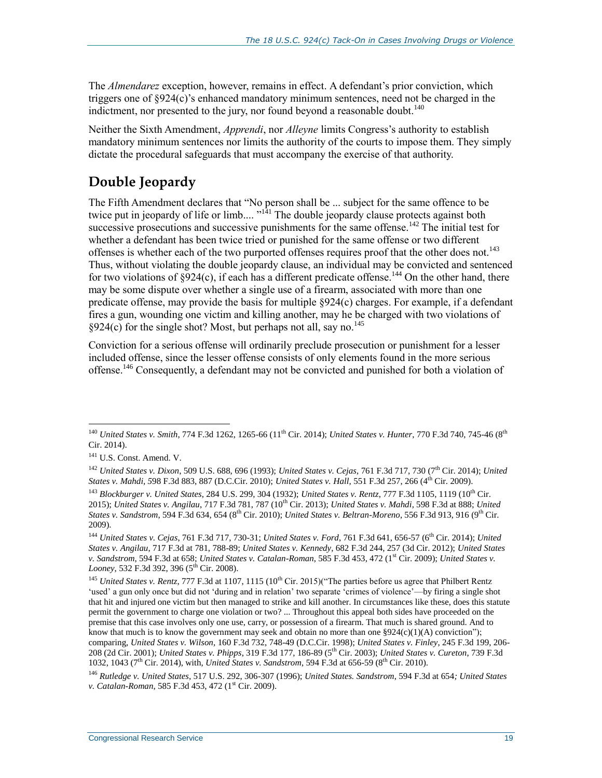The *Almendarez* exception, however, remains in effect. A defendant's prior conviction, which triggers one of §924(c)'s enhanced mandatory minimum sentences, need not be charged in the indictment, nor presented to the jury, nor found beyond a reasonable doubt.<sup>140</sup>

Neither the Sixth Amendment, *Apprendi*, nor *Alleyne* limits Congress's authority to establish mandatory minimum sentences nor limits the authority of the courts to impose them. They simply dictate the procedural safeguards that must accompany the exercise of that authority.

# **Double Jeopardy**

The Fifth Amendment declares that "No person shall be ... subject for the same offence to be twice put in jeopardy of life or limb....  $v^{14}$  The double jeopardy clause protects against both successive prosecutions and successive punishments for the same offense.<sup>142</sup> The initial test for whether a defendant has been twice tried or punished for the same offense or two different offenses is whether each of the two purported offenses requires proof that the other does not.<sup>143</sup> Thus, without violating the double jeopardy clause, an individual may be convicted and sentenced for two violations of  $\S 924(c)$ , if each has a different predicate offense.<sup>144</sup> On the other hand, there may be some dispute over whether a single use of a firearm, associated with more than one predicate offense, may provide the basis for multiple §924(c) charges. For example, if a defendant fires a gun, wounding one victim and killing another, may he be charged with two violations of  $§924(c)$  for the single shot? Most, but perhaps not all, say no.<sup>145</sup>

Conviction for a serious offense will ordinarily preclude prosecution or punishment for a lesser included offense, since the lesser offense consists of only elements found in the more serious offense.<sup>146</sup> Consequently, a defendant may not be convicted and punished for both a violation of

 $\overline{a}$ <sup>140</sup> *United States v. Smith*, 774 F.3d 1262, 1265-66 (11th Cir. 2014); *United States v. Hunter*, 770 F.3d 740, 745-46 (8th Cir. 2014).

<sup>141</sup> U.S. Const. Amend. V.

<sup>142</sup> *United States v. Dixon*, 509 U.S. 688, 696 (1993); *United States v. Cejas*, 761 F.3d 717, 730 (7th Cir. 2014); *United States v. Mahdi, 5*98 F.3d 883, 887 (D.C.Cir. 2010); *United States v. Hall,* 551 F.3d 257, 266 (4th Cir. 2009).

<sup>143</sup> *Blockburger v. United States*, 284 U.S. 299, 304 (1932); *United States v. Rentz*, 777 F.3d 1105, 1119 (10th Cir. 2015); *United States v. Angilau, 717 F.3d 781, 787* (10<sup>th</sup> Cir. 2013); *United States v. Mahdi*, 598 F.3d at 888; *United States v. Sandstrom*, 594 F.3d 634, 654 (8th Cir. 2010); *United States v. Beltran-Moreno*, 556 F.3d 913, 916 (9th Cir. 2009).

<sup>&</sup>lt;sup>144</sup> *United States v. Cejas, 761 F.3d 717, 730-31; <i>United States v. Ford, 761 F.3d 641, 656-57 (6<sup>th</sup> Cir. 2014); <i>United States v. Angilau*, 717 F.3d at 781, 788-89; *United States v. Kennedy*, 682 F.3d 244, 257 (3d Cir. 2012); *United States v. Sandstrom, 594 F.3d at 658; United States v. Catalan-Roman, 585 F.3d 453, 472 (1<sup>st</sup> Cir. 2009); <i>United States v. Looney*, 532 F.3d 392, 396 (5<sup>th</sup> Cir. 2008).

<sup>&</sup>lt;sup>145</sup> *United States v. Rentz.* 777 F.3d at 1107, 1115 (10<sup>th</sup> Cir. 2015)<sup>("</sup>The parties before us agree that Philbert Rentz 'used' a gun only once but did not 'during and in relation' two separate 'crimes of violence'—by firing a single shot that hit and injured one victim but then managed to strike and kill another. In circumstances like these, does this statute permit the government to charge one violation or two? ... Throughout this appeal both sides have proceeded on the premise that this case involves only one use, carry, or possession of a firearm. That much is shared ground. And to know that much is to know the government may seek and obtain no more than one  $\S 924(c)(1)(A)$  conviction"); comparing, *United States v. Wilson*, 160 F.3d 732, 748-49 (D.C.Cir. 1998); *United States v. Finley*, 245 F.3d 199, 206- 208 (2d Cir. 2001); *United States v. Phipps*, 319 F.3d 177, 186-89 (5th Cir. 2003); *United States v. Cureton*, 739 F.3d 1032, 1043 (7th Cir. 2014), with, *United States v. Sandstrom*, 594 F.3d at 656-59 (8th Cir. 2010).

<sup>146</sup> *Rutledge v. United States*, 517 U.S. 292, 306-307 (1996); *United States. Sandstrom*, 594 F.3d at 654*; United States v. Catalan-Roman*, 585 F.3d 453, 472 (1<sup>st</sup> Cir. 2009).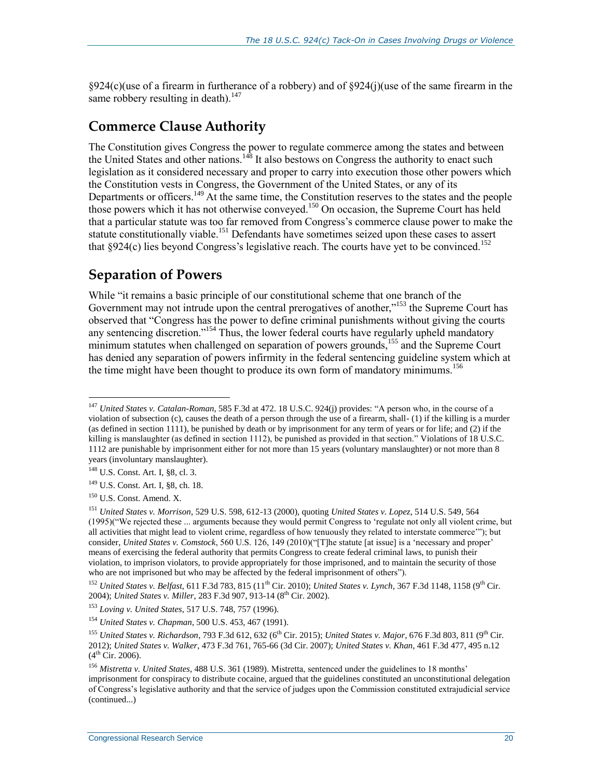§924(c)(use of a firearm in furtherance of a robbery) and of §924(j)(use of the same firearm in the same robbery resulting in death). $147$ 

#### **Commerce Clause Authority**

The Constitution gives Congress the power to regulate commerce among the states and between the United States and other nations.<sup>148</sup> It also bestows on Congress the authority to enact such legislation as it considered necessary and proper to carry into execution those other powers which the Constitution vests in Congress, the Government of the United States, or any of its Departments or officers.<sup>149</sup> At the same time, the Constitution reserves to the states and the people those powers which it has not otherwise conveyed.<sup>150</sup> On occasion, the Supreme Court has held that a particular statute was too far removed from Congress's commerce clause power to make the statute constitutionally viable.<sup>151</sup> Defendants have sometimes seized upon these cases to assert that  $\S 924(c)$  lies beyond Congress's legislative reach. The courts have yet to be convinced.<sup>152</sup>

### **Separation of Powers**

While "it remains a basic principle of our constitutional scheme that one branch of the Government may not intrude upon the central prerogatives of another,"<sup>153</sup> the Supreme Court has observed that "Congress has the power to define criminal punishments without giving the courts any sentencing discretion."<sup>154</sup> Thus, the lower federal courts have regularly upheld mandatory minimum statutes when challenged on separation of powers grounds,<sup>155</sup> and the Supreme Court has denied any separation of powers infirmity in the federal sentencing guideline system which at the time might have been thought to produce its own form of mandatory minimums.<sup>156</sup>

<sup>152</sup> *United States v. Belfast*, 611 F.3d 783, 815 (11<sup>th</sup> Cir. 2010); *United States v. Lynch*, 367 F.3d 1148, 1158 (9<sup>th</sup> Cir. 2004); *United States v. Miller*, 283 F.3d 907, 913-14 (8th Cir. 2002).

 $\overline{a}$ <sup>147</sup> *United States v. Catalan-Roman*, 585 F.3d at 472. 18 U.S.C. 924(j) provides: "A person who, in the course of a violation of subsection (c), causes the death of a person through the use of a firearm, shall- (1) if the killing is a murder (as defined in section 1111), be punished by death or by imprisonment for any term of years or for life; and (2) if the killing is manslaughter (as defined in section 1112), be punished as provided in that section." Violations of 18 U.S.C. 1112 are punishable by imprisonment either for not more than 15 years (voluntary manslaughter) or not more than 8 years (involuntary manslaughter).

<sup>148</sup> U.S. Const. Art. I, §8, cl. 3.

<sup>149</sup> U.S. Const. Art. I, §8, ch. 18.

<sup>150</sup> U.S. Const. Amend. X.

<sup>151</sup> *United States v. Morrison*, 529 U.S. 598, 612-13 (2000), quoting *United States v. Lopez*, 514 U.S. 549, 564 (1995)("We rejected these ... arguments because they would permit Congress to 'regulate not only all violent crime, but all activities that might lead to violent crime, regardless of how tenuously they related to interstate commerce'"); but consider, *United States v. Comstock*, 560 U.S. 126, 149 (2010)("[T]he statute [at issue] is a 'necessary and proper' means of exercising the federal authority that permits Congress to create federal criminal laws, to punish their violation, to imprison violators, to provide appropriately for those imprisoned, and to maintain the security of those who are not imprisoned but who may be affected by the federal imprisonment of others").

<sup>153</sup> *Loving v. United States*, 517 U.S. 748, 757 (1996).

<sup>154</sup> *United States v. Chapman*, 500 U.S. 453, 467 (1991).

<sup>155</sup> *United States v. Richardson*, 793 F.3d 612, 632 (6th Cir. 2015); *United States v. Major*, 676 F.3d 803, 811 (9th Cir. 2012); *United States v. Walker*, 473 F.3d 761, 765-66 (3d Cir. 2007); *United States v. Khan*, 461 F.3d 477, 495 n.12  $(4^{th}$  Cir. 2006).

<sup>156</sup> *Mistretta v. United States*, 488 U.S. 361 (1989). Mistretta, sentenced under the guidelines to 18 months' imprisonment for conspiracy to distribute cocaine, argued that the guidelines constituted an unconstitutional delegation of Congress's legislative authority and that the service of judges upon the Commission constituted extrajudicial service (continued...)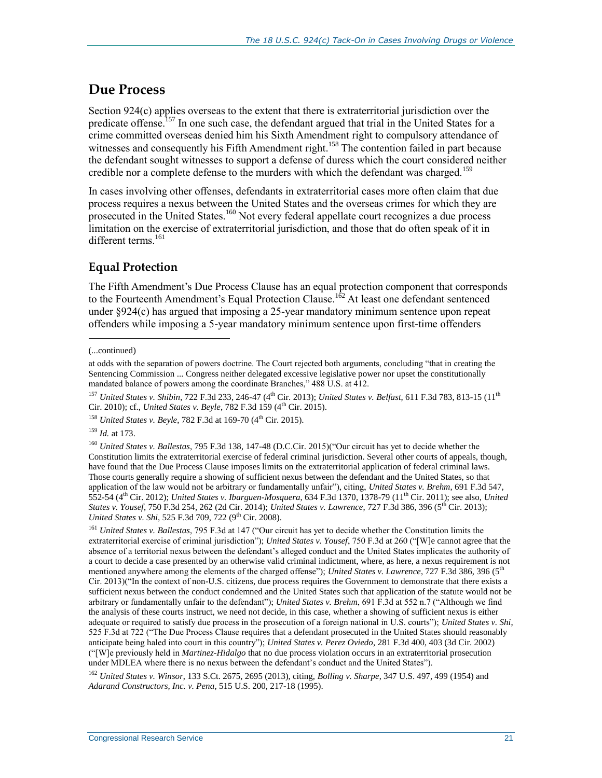#### **Due Process**

Section 924(c) applies overseas to the extent that there is extraterritorial jurisdiction over the predicate offense.<sup>157</sup> In one such case, the defendant argued that trial in the United States for a crime committed overseas denied him his Sixth Amendment right to compulsory attendance of witnesses and consequently his Fifth Amendment right.<sup>158</sup> The contention failed in part because the defendant sought witnesses to support a defense of duress which the court considered neither credible nor a complete defense to the murders with which the defendant was charged.<sup>159</sup>

In cases involving other offenses, defendants in extraterritorial cases more often claim that due process requires a nexus between the United States and the overseas crimes for which they are prosecuted in the United States.<sup>160</sup> Not every federal appellate court recognizes a due process limitation on the exercise of extraterritorial jurisdiction, and those that do often speak of it in different terms.<sup>161</sup>

#### **Equal Protection**

The Fifth Amendment's Due Process Clause has an equal protection component that corresponds to the Fourteenth Amendment's Equal Protection Clause.<sup>162</sup> At least one defendant sentenced under §924(c) has argued that imposing a 25-year mandatory minimum sentence upon repeat offenders while imposing a 5-year mandatory minimum sentence upon first-time offenders

 $\overline{a}$ 

<sup>159</sup> *Id.* at 173.

<sup>160</sup> *United States v. Ballestas*, 795 F.3d 138, 147-48 (D.C.Cir. 2015)("Our circuit has yet to decide whether the Constitution limits the extraterritorial exercise of federal criminal jurisdiction. Several other courts of appeals, though, have found that the Due Process Clause imposes limits on the extraterritorial application of federal criminal laws. Those courts generally require a showing of sufficient nexus between the defendant and the United States, so that application of the law would not be arbitrary or fundamentally unfair"), citing, *United States v. Brehm*, 691 F.3d 547, 552-54 (4th Cir. 2012); *United States v. Ibarguen-Mosquera*, 634 F.3d 1370, 1378-79 (11th Cir. 2011); see also, *United States v. Yousef*, 750 F.3d 254, 262 (2d Cir. 2014); *United States v. Lawrence*, 727 F.3d 386, 396 (5th Cir. 2013); *United States v. Shi, 525 F.3d 709, 722 (9<sup>th</sup> Cir. 2008).* 

<sup>161</sup> *United States v. Ballestas*, 795 F.3d at 147 ("Our circuit has yet to decide whether the Constitution limits the extraterritorial exercise of criminal jurisdiction"); *United States v. Yousef*, 750 F.3d at 260 ("[W]e cannot agree that the absence of a territorial nexus between the defendant's alleged conduct and the United States implicates the authority of a court to decide a case presented by an otherwise valid criminal indictment, where, as here, a nexus requirement is not mentioned anywhere among the elements of the charged offense"); *United States v. Lawrence*, 727 F.3d 386, 396 (5th Cir. 2013)("In the context of non-U.S. citizens, due process requires the Government to demonstrate that there exists a sufficient nexus between the conduct condemned and the United States such that application of the statute would not be arbitrary or fundamentally unfair to the defendant"); *United States v. Brehm*, 691 F.3d at 552 n.7 ("Although we find the analysis of these courts instruct, we need not decide, in this case, whether a showing of sufficient nexus is either adequate or required to satisfy due process in the prosecution of a foreign national in U.S. courts"); *United States v. Shi*, 525 F.3d at 722 ("The Due Process Clause requires that a defendant prosecuted in the United States should reasonably anticipate being haled into court in this country"); *United States v. Perez Oviedo*, 281 F.3d 400, 403 (3d Cir. 2002) ("[W]e previously held in *Martinez-Hidalgo* that no due process violation occurs in an extraterritorial prosecution under MDLEA where there is no nexus between the defendant's conduct and the United States").

<sup>162</sup> *United States v. Winsor*, 133 S.Ct. 2675, 2695 (2013), citing, *Bolling v. Sharpe*, 347 U.S. 497, 499 (1954) and *Adarand Constructors, Inc. v. Pena*, 515 U.S. 200, 217-18 (1995).

<sup>(...</sup>continued)

at odds with the separation of powers doctrine. The Court rejected both arguments, concluding "that in creating the Sentencing Commission ... Congress neither delegated excessive legislative power nor upset the constitutionally mandated balance of powers among the coordinate Branches," 488 U.S. at 412.

<sup>157</sup> *United States v. Shibin*, 722 F.3d 233, 246-47 (4th Cir. 2013); *United States v. Belfast*, 611 F.3d 783, 813-15 (11th Cir. 2010); cf., *United States v. Beyle*, 782 F.3d 159 (4th Cir. 2015).

<sup>&</sup>lt;sup>158</sup> *United States v. Beyle*, 782 F.3d at 169-70 (4<sup>th</sup> Cir. 2015).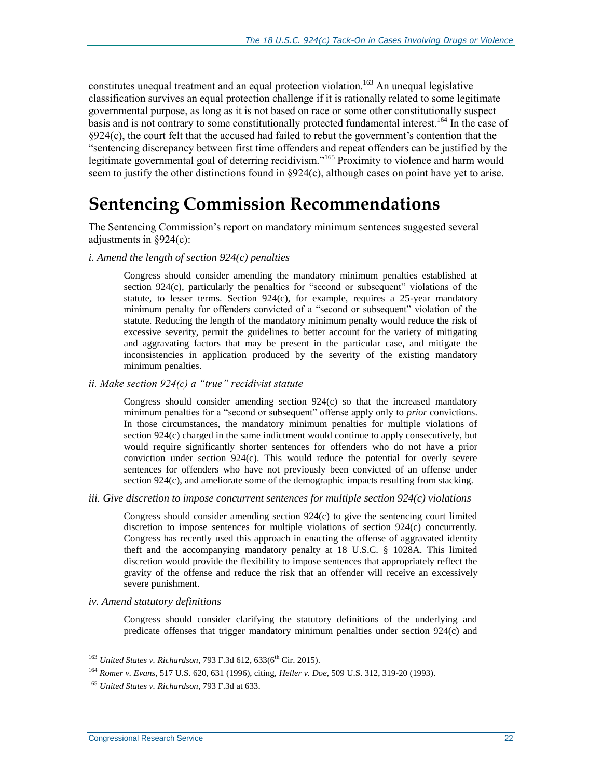constitutes unequal treatment and an equal protection violation.<sup>163</sup> An unequal legislative classification survives an equal protection challenge if it is rationally related to some legitimate governmental purpose, as long as it is not based on race or some other constitutionally suspect basis and is not contrary to some constitutionally protected fundamental interest.<sup>164</sup> In the case of §924(c), the court felt that the accused had failed to rebut the government's contention that the "sentencing discrepancy between first time offenders and repeat offenders can be justified by the legitimate governmental goal of deterring recidivism."<sup>165</sup> Proximity to violence and harm would seem to justify the other distinctions found in §924(c), although cases on point have yet to arise.

# **Sentencing Commission Recommendations**

The Sentencing Commission's report on mandatory minimum sentences suggested several adjustments in §924(c):

*i. Amend the length of section 924(c) penalties*

Congress should consider amending the mandatory minimum penalties established at section 924(c), particularly the penalties for "second or subsequent" violations of the statute, to lesser terms. Section  $924(c)$ , for example, requires a 25-year mandatory minimum penalty for offenders convicted of a "second or subsequent" violation of the statute. Reducing the length of the mandatory minimum penalty would reduce the risk of excessive severity, permit the guidelines to better account for the variety of mitigating and aggravating factors that may be present in the particular case, and mitigate the inconsistencies in application produced by the severity of the existing mandatory minimum penalties.

*ii. Make section 924(c) a "true" recidivist statute*

Congress should consider amending section  $924(c)$  so that the increased mandatory minimum penalties for a "second or subsequent" offense apply only to *prior* convictions. In those circumstances, the mandatory minimum penalties for multiple violations of section 924(c) charged in the same indictment would continue to apply consecutively, but would require significantly shorter sentences for offenders who do not have a prior conviction under section 924(c). This would reduce the potential for overly severe sentences for offenders who have not previously been convicted of an offense under section 924(c), and ameliorate some of the demographic impacts resulting from stacking.

*iii. Give discretion to impose concurrent sentences for multiple section 924(c) violations*

Congress should consider amending section 924(c) to give the sentencing court limited discretion to impose sentences for multiple violations of section 924(c) concurrently. Congress has recently used this approach in enacting the offense of aggravated identity theft and the accompanying mandatory penalty at 18 U.S.C. § 1028A. This limited discretion would provide the flexibility to impose sentences that appropriately reflect the gravity of the offense and reduce the risk that an offender will receive an excessively severe punishment.

*iv. Amend statutory definitions*

Congress should consider clarifying the statutory definitions of the underlying and predicate offenses that trigger mandatory minimum penalties under section 924(c) and

<sup>&</sup>lt;sup>163</sup> *United States v. Richardson, 793 F.3d 612, 633(6<sup>th</sup> Cir. 2015).* 

<sup>164</sup> *Romer v. Evans*, 517 U.S. 620, 631 (1996), citing, *Heller v. Doe*, 509 U.S. 312, 319-20 (1993).

<sup>165</sup> *United States v. Richardson*, 793 F.3d at 633.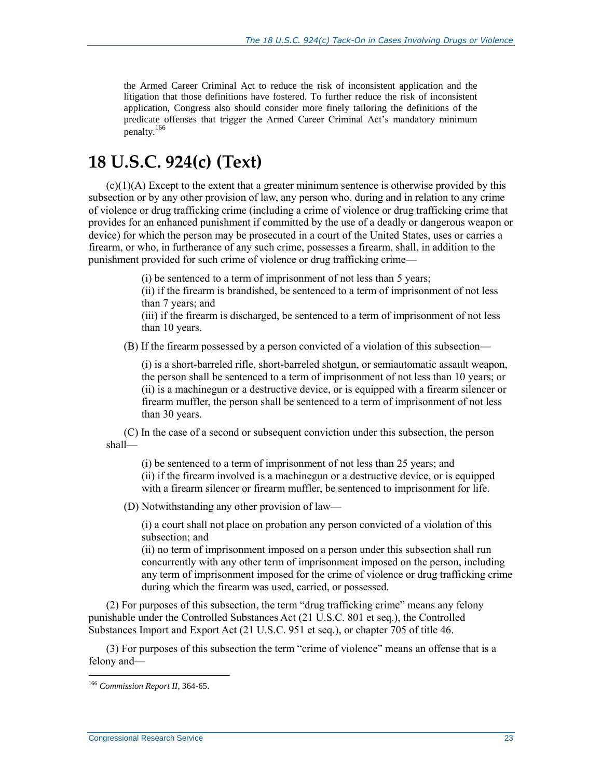the Armed Career Criminal Act to reduce the risk of inconsistent application and the litigation that those definitions have fostered. To further reduce the risk of inconsistent application, Congress also should consider more finely tailoring the definitions of the predicate offenses that trigger the Armed Career Criminal Act's mandatory minimum penalty.<sup>166</sup>

# **18 U.S.C. 924(c) (Text)**

 $(c)(1)(A)$  Except to the extent that a greater minimum sentence is otherwise provided by this subsection or by any other provision of law, any person who, during and in relation to any crime of violence or drug trafficking crime (including a crime of violence or drug trafficking crime that provides for an enhanced punishment if committed by the use of a deadly or dangerous weapon or device) for which the person may be prosecuted in a court of the United States, uses or carries a firearm, or who, in furtherance of any such crime, possesses a firearm, shall, in addition to the punishment provided for such crime of violence or drug trafficking crime—

(i) be sentenced to a term of imprisonment of not less than 5 years;

(ii) if the firearm is brandished, be sentenced to a term of imprisonment of not less than 7 years; and

(iii) if the firearm is discharged, be sentenced to a term of imprisonment of not less than 10 years.

(B) If the firearm possessed by a person convicted of a violation of this subsection—

(i) is a short-barreled rifle, short-barreled shotgun, or semiautomatic assault weapon, the person shall be sentenced to a term of imprisonment of not less than 10 years; or (ii) is a machinegun or a destructive device, or is equipped with a firearm silencer or firearm muffler, the person shall be sentenced to a term of imprisonment of not less than 30 years.

(C) In the case of a second or subsequent conviction under this subsection, the person shall—

(i) be sentenced to a term of imprisonment of not less than 25 years; and (ii) if the firearm involved is a machinegun or a destructive device, or is equipped with a firearm silencer or firearm muffler, be sentenced to imprisonment for life.

(D) Notwithstanding any other provision of law—

(i) a court shall not place on probation any person convicted of a violation of this subsection; and

(ii) no term of imprisonment imposed on a person under this subsection shall run concurrently with any other term of imprisonment imposed on the person, including any term of imprisonment imposed for the crime of violence or drug trafficking crime during which the firearm was used, carried, or possessed.

(2) For purposes of this subsection, the term "drug trafficking crime" means any felony punishable under the Controlled Substances Act (21 U.S.C. 801 et seq.), the Controlled Substances Import and Export Act (21 U.S.C. 951 et seq.), or chapter 705 of title 46.

(3) For purposes of this subsection the term "crime of violence" means an offense that is a felony and—

<sup>166</sup> *Commission Report II*, 364-65.